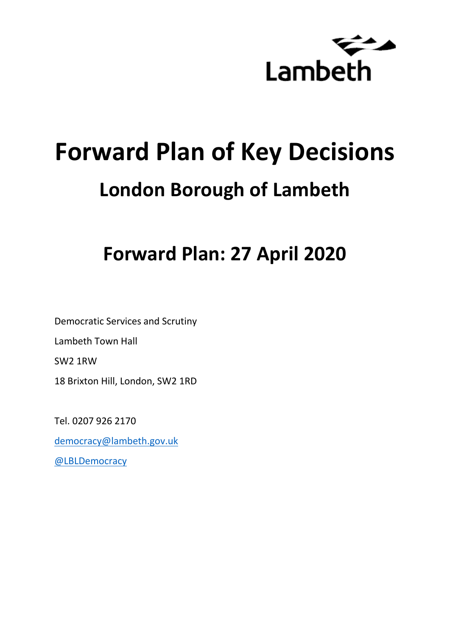

# **Forward Plan of Key Decisions London Borough of Lambeth**

# **Forward Plan: 27 April 2020**

Democratic Services and Scrutiny Lambeth Town Hall SW2 1RW 18 Brixton Hill, London, SW2 1RD

Tel. 0207 926 2170

[democracy@lambeth.gov.uk](mailto:democracy@lambeth.gov.uk)

[@LBLDemocracy](https://twitter.com/LBLDemocracy?lang=en)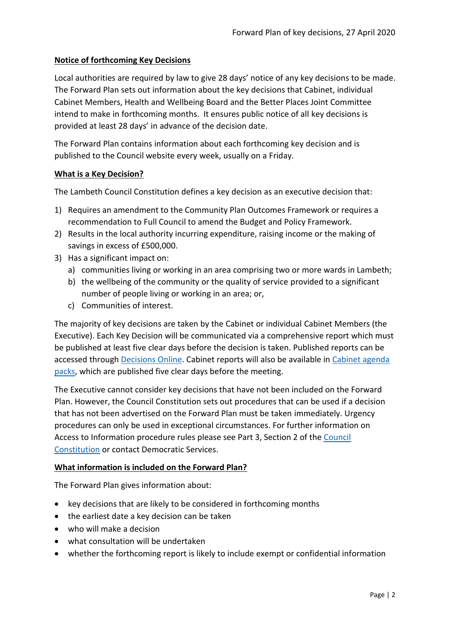# **Notice of forthcoming Key Decisions**

Local authorities are required by law to give 28 days' notice of any key decisions to be made. The Forward Plan sets out information about the key decisions that Cabinet, individual Cabinet Members, Health and Wellbeing Board and the Better Places Joint Committee intend to make in forthcoming months. It ensures public notice of all key decisions is provided at least 28 days' in advance of the decision date.

The Forward Plan contains information about each forthcoming key decision and is published to the Council website every week, usually on a Friday.

# **What is a Key Decision?**

The Lambeth Council Constitution defines a key decision as an executive decision that:

- 1) Requires an amendment to the Community Plan Outcomes Framework or requires a recommendation to Full Council to amend the Budget and Policy Framework.
- 2) Results in the local authority incurring expenditure, raising income or the making of savings in excess of £500,000.
- 3) Has a significant impact on:
	- a) communities living or working in an area comprising two or more wards in Lambeth;
	- b) the wellbeing of the community or the quality of service provided to a significant number of people living or working in an area; or,
	- c) Communities of interest.

The majority of key decisions are taken by the Cabinet or individual Cabinet Members (the Executive). Each Key Decision will be communicated via a comprehensive report which must be published at least five clear days before the decision is taken. Published reports can be accessed through [Decisions Online.](http://moderngov.lambeth.gov.uk/mgDelegatedDecisions.aspx?bcr=1&DM=0&DS=2&K=0&DR=&V=0) Cabinet reports will also be available in [Cabinet agenda](https://moderngov.lambeth.gov.uk/ieListMeetings.aspx?CommitteeId=225)  [packs,](https://moderngov.lambeth.gov.uk/ieListMeetings.aspx?CommitteeId=225) which are published five clear days before the meeting.

The Executive cannot consider key decisions that have not been included on the Forward Plan. However, the Council Constitution sets out procedures that can be used if a decision that has not been advertised on the Forward Plan must be taken immediately. Urgency procedures can only be used in exceptional circumstances. For further information on Access to Information procedure rules please see Part 3, Section 2 of the [Council](http://moderngov.lambeth.gov.uk/ieListMeetings.aspx?CId=738&info=1&MD=Constitution)  [Constitution](http://moderngov.lambeth.gov.uk/ieListMeetings.aspx?CId=738&info=1&MD=Constitution) or contact Democratic Services.

# **What information is included on the Forward Plan?**

The Forward Plan gives information about:

- key decisions that are likely to be considered in forthcoming months
- the earliest date a key decision can be taken
- who will make a decision
- what consultation will be undertaken
- whether the forthcoming report is likely to include exempt or confidential information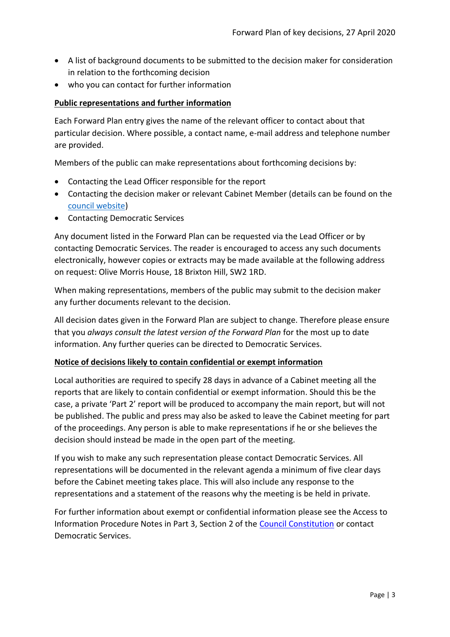- A list of background documents to be submitted to the decision maker for consideration in relation to the forthcoming decision
- who you can contact for further information

# **Public representations and further information**

Each Forward Plan entry gives the name of the relevant officer to contact about that particular decision. Where possible, a contact name, e-mail address and telephone number are provided.

Members of the public can make representations about forthcoming decisions by:

- Contacting the Lead Officer responsible for the report
- Contacting the decision maker or relevant Cabinet Member (details can be found on the [council website\)](http://moderngov.lambeth.gov.uk/mgMemberIndex.aspx?bcr=1)
- Contacting Democratic Services

Any document listed in the Forward Plan can be requested via the Lead Officer or by contacting Democratic Services. The reader is encouraged to access any such documents electronically, however copies or extracts may be made available at the following address on request: Olive Morris House, 18 Brixton Hill, SW2 1RD.

When making representations, members of the public may submit to the decision maker any further documents relevant to the decision.

All decision dates given in the Forward Plan are subject to change. Therefore please ensure that you *always consult the latest version of the Forward Plan* for the most up to date information. Any further queries can be directed to Democratic Services.

# **Notice of decisions likely to contain confidential or exempt information**

Local authorities are required to specify 28 days in advance of a Cabinet meeting all the reports that are likely to contain confidential or exempt information. Should this be the case, a private 'Part 2' report will be produced to accompany the main report, but will not be published. The public and press may also be asked to leave the Cabinet meeting for part of the proceedings. Any person is able to make representations if he or she believes the decision should instead be made in the open part of the meeting.

If you wish to make any such representation please contact Democratic Services. All representations will be documented in the relevant agenda a minimum of five clear days before the Cabinet meeting takes place. This will also include any response to the representations and a statement of the reasons why the meeting is be held in private.

For further information about exempt or confidential information please see the Access to Information Procedure Notes in Part 3, Section 2 of the [Council Constitution](http://www.lambeth.gov.uk/sites/default/files/ec-Council-Constitution-2014-15-approved-with-changes-November-2014.pdf) or contact Democratic Services.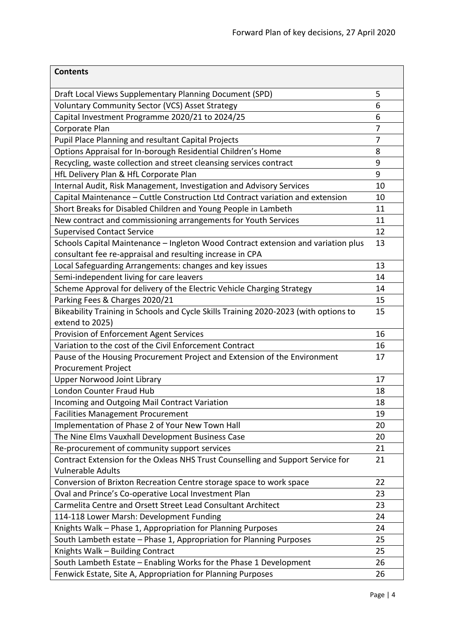| <b>Contents</b>                                                                      |    |
|--------------------------------------------------------------------------------------|----|
| Draft Local Views Supplementary Planning Document (SPD)                              | 5  |
| Voluntary Community Sector (VCS) Asset Strategy                                      | 6  |
| Capital Investment Programme 2020/21 to 2024/25                                      | 6  |
| Corporate Plan                                                                       | 7  |
| Pupil Place Planning and resultant Capital Projects                                  | 7  |
| Options Appraisal for In-borough Residential Children's Home                         | 8  |
| Recycling, waste collection and street cleansing services contract                   | 9  |
| HfL Delivery Plan & HfL Corporate Plan                                               | 9  |
| Internal Audit, Risk Management, Investigation and Advisory Services                 | 10 |
| Capital Maintenance - Cuttle Construction Ltd Contract variation and extension       | 10 |
| Short Breaks for Disabled Children and Young People in Lambeth                       | 11 |
| New contract and commissioning arrangements for Youth Services                       | 11 |
| <b>Supervised Contact Service</b>                                                    | 12 |
| Schools Capital Maintenance - Ingleton Wood Contract extension and variation plus    | 13 |
| consultant fee re-appraisal and resulting increase in CPA                            |    |
| Local Safeguarding Arrangements: changes and key issues                              | 13 |
| Semi-independent living for care leavers                                             | 14 |
| Scheme Approval for delivery of the Electric Vehicle Charging Strategy               | 14 |
| Parking Fees & Charges 2020/21                                                       | 15 |
| Bikeability Training in Schools and Cycle Skills Training 2020-2023 (with options to | 15 |
| extend to 2025)                                                                      |    |
| Provision of Enforcement Agent Services                                              | 16 |
| Variation to the cost of the Civil Enforcement Contract                              | 16 |
| Pause of the Housing Procurement Project and Extension of the Environment            | 17 |
| <b>Procurement Project</b>                                                           |    |
| <b>Upper Norwood Joint Library</b>                                                   | 17 |
| London Counter Fraud Hub                                                             | 18 |
| Incoming and Outgoing Mail Contract Variation                                        | 18 |
| <b>Facilities Management Procurement</b>                                             | 19 |
| Implementation of Phase 2 of Your New Town Hall                                      | 20 |
| The Nine Elms Vauxhall Development Business Case                                     | 20 |
| Re-procurement of community support services                                         | 21 |
| Contract Extension for the Oxleas NHS Trust Counselling and Support Service for      | 21 |
| <b>Vulnerable Adults</b>                                                             |    |
| Conversion of Brixton Recreation Centre storage space to work space                  | 22 |
| Oval and Prince's Co-operative Local Investment Plan                                 | 23 |
| Carmelita Centre and Orsett Street Lead Consultant Architect                         | 23 |
| 114-118 Lower Marsh: Development Funding                                             | 24 |
| Knights Walk - Phase 1, Appropriation for Planning Purposes                          | 24 |
| South Lambeth estate - Phase 1, Appropriation for Planning Purposes                  | 25 |
| Knights Walk - Building Contract                                                     | 25 |
| South Lambeth Estate - Enabling Works for the Phase 1 Development                    | 26 |
| Fenwick Estate, Site A, Appropriation for Planning Purposes                          | 26 |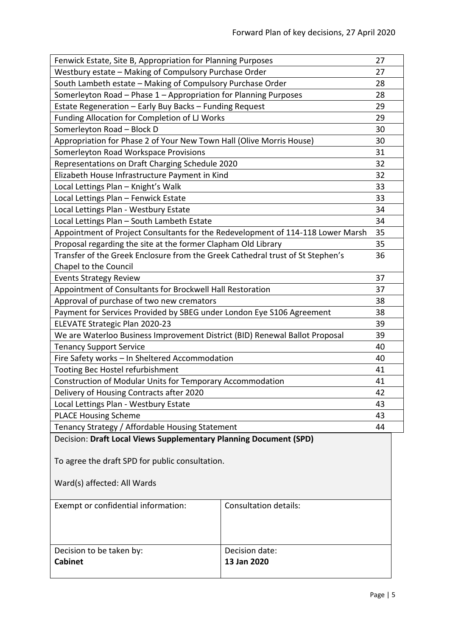<span id="page-4-0"></span>

| Fenwick Estate, Site B, Appropriation for Planning Purposes                     |                       |    |
|---------------------------------------------------------------------------------|-----------------------|----|
| Westbury estate - Making of Compulsory Purchase Order                           |                       | 27 |
| South Lambeth estate - Making of Compulsory Purchase Order                      |                       | 28 |
| Somerleyton Road - Phase 1 - Appropriation for Planning Purposes                |                       | 28 |
| Estate Regeneration - Early Buy Backs - Funding Request                         |                       | 29 |
| Funding Allocation for Completion of LJ Works                                   |                       | 29 |
| Somerleyton Road - Block D                                                      |                       | 30 |
| Appropriation for Phase 2 of Your New Town Hall (Olive Morris House)            |                       |    |
| Somerleyton Road Workspace Provisions                                           |                       | 31 |
| Representations on Draft Charging Schedule 2020                                 |                       | 32 |
| Elizabeth House Infrastructure Payment in Kind                                  |                       | 32 |
| Local Lettings Plan - Knight's Walk                                             |                       | 33 |
| Local Lettings Plan - Fenwick Estate                                            |                       | 33 |
| Local Lettings Plan - Westbury Estate                                           |                       | 34 |
| Local Lettings Plan - South Lambeth Estate                                      |                       | 34 |
| Appointment of Project Consultants for the Redevelopment of 114-118 Lower Marsh |                       | 35 |
| Proposal regarding the site at the former Clapham Old Library                   |                       | 35 |
| Transfer of the Greek Enclosure from the Greek Cathedral trust of St Stephen's  |                       | 36 |
| Chapel to the Council                                                           |                       |    |
| <b>Events Strategy Review</b>                                                   |                       |    |
| Appointment of Consultants for Brockwell Hall Restoration                       |                       | 37 |
| Approval of purchase of two new cremators                                       |                       | 38 |
| Payment for Services Provided by SBEG under London Eye S106 Agreement           |                       |    |
| ELEVATE Strategic Plan 2020-23                                                  |                       |    |
| We are Waterloo Business Improvement District (BID) Renewal Ballot Proposal     |                       |    |
| <b>Tenancy Support Service</b>                                                  |                       |    |
| Fire Safety works - In Sheltered Accommodation                                  |                       |    |
| Tooting Bec Hostel refurbishment                                                |                       |    |
| Construction of Modular Units for Temporary Accommodation                       |                       |    |
| Delivery of Housing Contracts after 2020                                        |                       |    |
| Local Lettings Plan - Westbury Estate                                           |                       | 43 |
| <b>PLACE Housing Scheme</b>                                                     |                       | 43 |
| Tenancy Strategy / Affordable Housing Statement                                 |                       | 44 |
| Decision: Draft Local Views Supplementary Planning Document (SPD)               |                       |    |
|                                                                                 |                       |    |
| To agree the draft SPD for public consultation.                                 |                       |    |
| Ward(s) affected: All Wards                                                     |                       |    |
|                                                                                 |                       |    |
| Exempt or confidential information:                                             | Consultation details: |    |
|                                                                                 |                       |    |
|                                                                                 |                       |    |
|                                                                                 | Decision date:        |    |
| Decision to be taken by:<br><b>Cabinet</b>                                      | 13 Jan 2020           |    |
|                                                                                 |                       |    |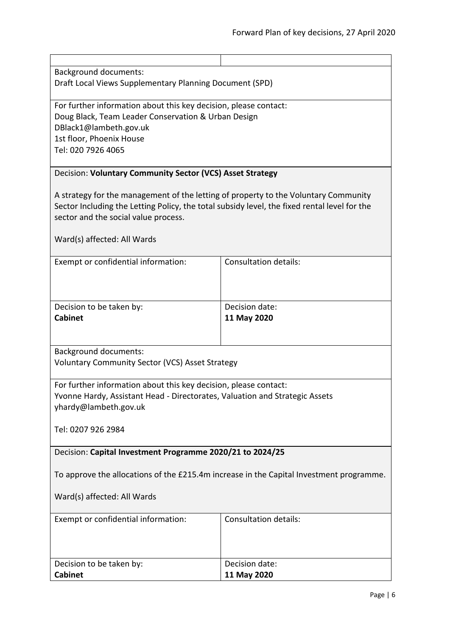Background documents:

Draft Local Views Supplementary Planning Document (SPD)

For further information about this key decision, please contact: Doug Black, Team Leader Conservation & Urban Design DBlack1@lambeth.gov.uk 1st floor, Phoenix House Tel: 020 7926 4065

# <span id="page-5-0"></span>Decision: **Voluntary Community Sector (VCS) Asset Strategy**

A strategy for the management of the letting of property to the Voluntary Community Sector Including the Letting Policy, the total subsidy level, the fixed rental level for the sector and the social value process.

Ward(s) affected: All Wards

| <b>Consultation details:</b> |
|------------------------------|
|                              |
|                              |
|                              |
| Decision date:               |
| 11 May 2020                  |
|                              |
|                              |

Background documents:

Voluntary Community Sector (VCS) Asset Strategy

For further information about this key decision, please contact: Yvonne Hardy, Assistant Head - Directorates, Valuation and Strategic Assets yhardy@lambeth.gov.uk

Tel: 0207 926 2984

<span id="page-5-1"></span>Decision: **Capital Investment Programme 2020/21 to 2024/25**

To approve the allocations of the £215.4m increase in the Capital Investment programme.

| Exempt or confidential information: | <b>Consultation details:</b> |
|-------------------------------------|------------------------------|
| Decision to be taken by:            | Decision date:               |
| <b>Cabinet</b>                      | 11 May 2020                  |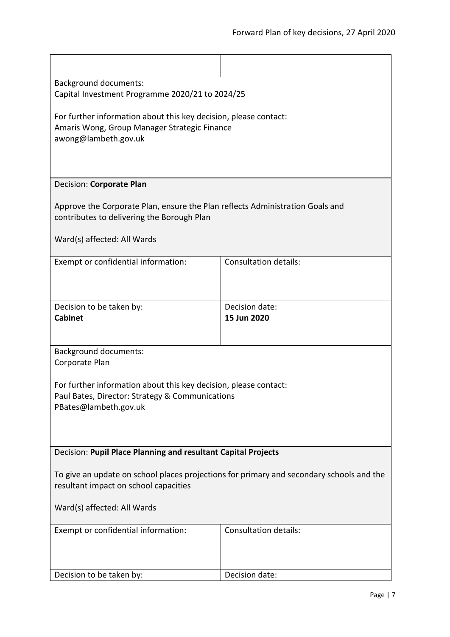<span id="page-6-1"></span><span id="page-6-0"></span>

| <b>Background documents:</b>                                                             |                               |  |
|------------------------------------------------------------------------------------------|-------------------------------|--|
| Capital Investment Programme 2020/21 to 2024/25                                          |                               |  |
| For further information about this key decision, please contact:                         |                               |  |
| Amaris Wong, Group Manager Strategic Finance                                             |                               |  |
| awong@lambeth.gov.uk                                                                     |                               |  |
|                                                                                          |                               |  |
|                                                                                          |                               |  |
| Decision: Corporate Plan                                                                 |                               |  |
| Approve the Corporate Plan, ensure the Plan reflects Administration Goals and            |                               |  |
| contributes to delivering the Borough Plan                                               |                               |  |
|                                                                                          |                               |  |
| Ward(s) affected: All Wards                                                              |                               |  |
| Exempt or confidential information:                                                      | <b>Consultation details:</b>  |  |
|                                                                                          |                               |  |
|                                                                                          |                               |  |
|                                                                                          |                               |  |
| Decision to be taken by:<br><b>Cabinet</b>                                               | Decision date:<br>15 Jun 2020 |  |
|                                                                                          |                               |  |
|                                                                                          |                               |  |
| <b>Background documents:</b>                                                             |                               |  |
| Corporate Plan                                                                           |                               |  |
| For further information about this key decision, please contact:                         |                               |  |
| Paul Bates, Director: Strategy & Communications                                          |                               |  |
| PBates@lambeth.gov.uk                                                                    |                               |  |
|                                                                                          |                               |  |
|                                                                                          |                               |  |
| Decision: Pupil Place Planning and resultant Capital Projects                            |                               |  |
|                                                                                          |                               |  |
| To give an update on school places projections for primary and secondary schools and the |                               |  |
| resultant impact on school capacities                                                    |                               |  |
| Ward(s) affected: All Wards                                                              |                               |  |
|                                                                                          |                               |  |
| Exempt or confidential information:                                                      | <b>Consultation details:</b>  |  |
|                                                                                          |                               |  |
|                                                                                          |                               |  |
| Decision to be taken by:                                                                 | Decision date:                |  |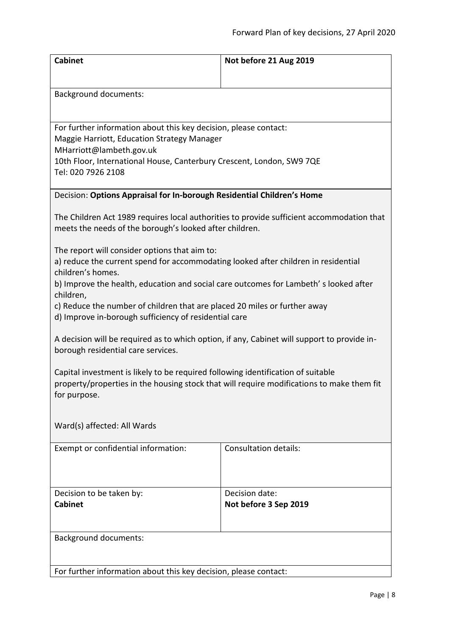<span id="page-7-0"></span>

| <b>Cabinet</b>                                                                                                                                           | Not before 21 Aug 2019       |  |
|----------------------------------------------------------------------------------------------------------------------------------------------------------|------------------------------|--|
|                                                                                                                                                          |                              |  |
| <b>Background documents:</b>                                                                                                                             |                              |  |
|                                                                                                                                                          |                              |  |
| For further information about this key decision, please contact:                                                                                         |                              |  |
| Maggie Harriott, Education Strategy Manager<br>MHarriott@lambeth.gov.uk                                                                                  |                              |  |
| 10th Floor, International House, Canterbury Crescent, London, SW9 7QE                                                                                    |                              |  |
| Tel: 020 7926 2108                                                                                                                                       |                              |  |
| Decision: Options Appraisal for In-borough Residential Children's Home                                                                                   |                              |  |
| The Children Act 1989 requires local authorities to provide sufficient accommodation that<br>meets the needs of the borough's looked after children.     |                              |  |
| The report will consider options that aim to:<br>a) reduce the current spend for accommodating looked after children in residential<br>children's homes. |                              |  |
| b) Improve the health, education and social care outcomes for Lambeth's looked after<br>children,                                                        |                              |  |
| c) Reduce the number of children that are placed 20 miles or further away<br>d) Improve in-borough sufficiency of residential care                       |                              |  |
| A decision will be required as to which option, if any, Cabinet will support to provide in-<br>borough residential care services.                        |                              |  |
| Capital investment is likely to be required following identification of suitable                                                                         |                              |  |
| property/properties in the housing stock that will require modifications to make them fit<br>for purpose.                                                |                              |  |
|                                                                                                                                                          |                              |  |
| Ward(s) affected: All Wards                                                                                                                              |                              |  |
| Exempt or confidential information:                                                                                                                      | <b>Consultation details:</b> |  |
|                                                                                                                                                          |                              |  |
| Decision to be taken by:                                                                                                                                 | Decision date:               |  |
| <b>Cabinet</b>                                                                                                                                           | Not before 3 Sep 2019        |  |
| <b>Background documents:</b>                                                                                                                             |                              |  |
|                                                                                                                                                          |                              |  |
| For further information about this key decision, please contact:                                                                                         |                              |  |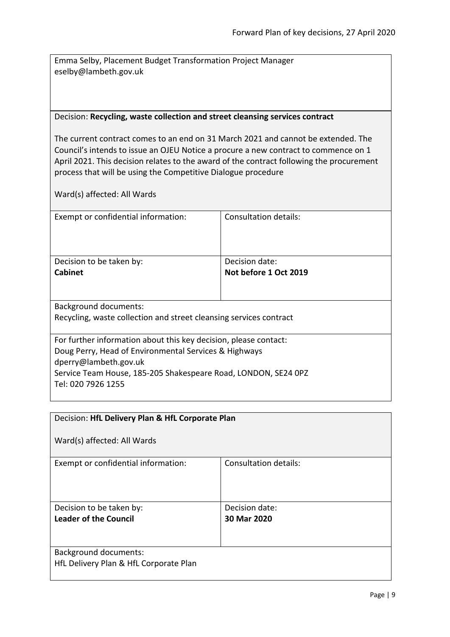Emma Selby, Placement Budget Transformation Project Manager eselby@lambeth.gov.uk

#### <span id="page-8-0"></span>Decision: **Recycling, waste collection and street cleansing services contract**

The current contract comes to an end on 31 March 2021 and cannot be extended. The Council's intends to issue an OJEU Notice a procure a new contract to commence on 1 April 2021. This decision relates to the award of the contract following the procurement process that will be using the Competitive Dialogue procedure

| Exempt or confidential information:                                | Consultation details: |  |
|--------------------------------------------------------------------|-----------------------|--|
| Decision to be taken by:                                           | Decision date:        |  |
| <b>Cabinet</b>                                                     | Not before 1 Oct 2019 |  |
|                                                                    |                       |  |
| Background documents:                                              |                       |  |
| Recycling, waste collection and street cleansing services contract |                       |  |
|                                                                    |                       |  |
| For further information about this key decision, please contact:   |                       |  |
| Doug Perry, Head of Environmental Services & Highways              |                       |  |
| dperry@lambeth.gov.uk                                              |                       |  |
| Service Team House, 185-205 Shakespeare Road, LONDON, SE24 OPZ     |                       |  |
| Tel: 020 7926 1255                                                 |                       |  |

<span id="page-8-1"></span>

| Decision: HfL Delivery Plan & HfL Corporate Plan                       |                              |
|------------------------------------------------------------------------|------------------------------|
| Ward(s) affected: All Wards                                            |                              |
| Exempt or confidential information:                                    | <b>Consultation details:</b> |
| Decision to be taken by:                                               | Decision date:               |
| Leader of the Council                                                  | 30 Mar 2020                  |
| <b>Background documents:</b><br>HfL Delivery Plan & HfL Corporate Plan |                              |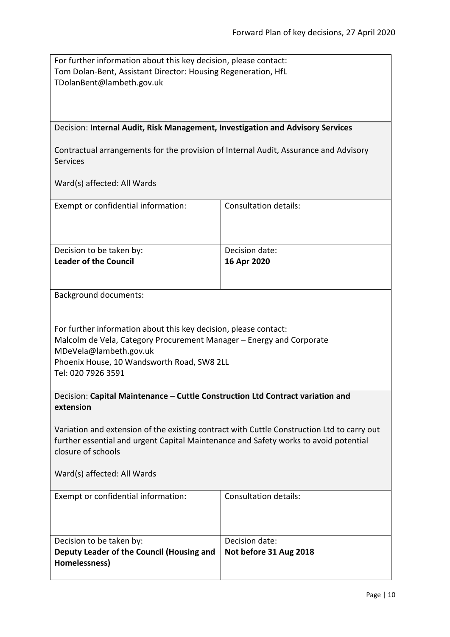<span id="page-9-1"></span><span id="page-9-0"></span>

| For further information about this key decision, please contact:<br>Tom Dolan-Bent, Assistant Director: Housing Regeneration, HfL<br>TDolanBent@lambeth.gov.uk<br>Decision: Internal Audit, Risk Management, Investigation and Advisory Services<br>Contractual arrangements for the provision of Internal Audit, Assurance and Advisory<br><b>Services</b><br>Ward(s) affected: All Wards |                                          |  |
|--------------------------------------------------------------------------------------------------------------------------------------------------------------------------------------------------------------------------------------------------------------------------------------------------------------------------------------------------------------------------------------------|------------------------------------------|--|
| Exempt or confidential information:                                                                                                                                                                                                                                                                                                                                                        | <b>Consultation details:</b>             |  |
| Decision to be taken by:<br><b>Leader of the Council</b>                                                                                                                                                                                                                                                                                                                                   | Decision date:<br>16 Apr 2020            |  |
| Background documents:                                                                                                                                                                                                                                                                                                                                                                      |                                          |  |
| For further information about this key decision, please contact:<br>Malcolm de Vela, Category Procurement Manager – Energy and Corporate<br>MDeVela@lambeth.gov.uk<br>Phoenix House, 10 Wandsworth Road, SW8 2LL<br>Tel: 020 7926 3591                                                                                                                                                     |                                          |  |
| Decision: Capital Maintenance - Cuttle Construction Ltd Contract variation and<br>extension                                                                                                                                                                                                                                                                                                |                                          |  |
| Variation and extension of the existing contract with Cuttle Construction Ltd to carry out<br>further essential and urgent Capital Maintenance and Safety works to avoid potential<br>closure of schools                                                                                                                                                                                   |                                          |  |
| Ward(s) affected: All Wards                                                                                                                                                                                                                                                                                                                                                                |                                          |  |
| Exempt or confidential information:                                                                                                                                                                                                                                                                                                                                                        | <b>Consultation details:</b>             |  |
| Decision to be taken by:<br>Deputy Leader of the Council (Housing and<br>Homelessness)                                                                                                                                                                                                                                                                                                     | Decision date:<br>Not before 31 Aug 2018 |  |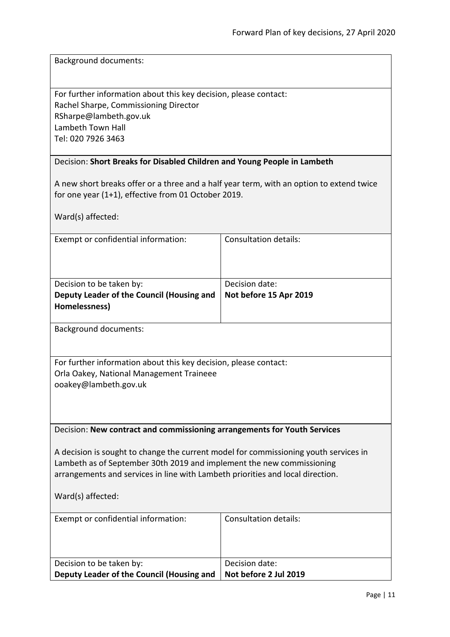Background documents:

For further information about this key decision, please contact: Rachel Sharpe, Commissioning Director RSharpe@lambeth.gov.uk Lambeth Town Hall Tel: 020 7926 3463

#### <span id="page-10-0"></span>Decision: **Short Breaks for Disabled Children and Young People in Lambeth**

A new short breaks offer or a three and a half year term, with an option to extend twice for one year (1+1), effective from 01 October 2019.

Ward(s) affected:

| Exempt or confidential information:       | Consultation details:  |
|-------------------------------------------|------------------------|
|                                           |                        |
|                                           |                        |
|                                           |                        |
| Decision to be taken by:                  | Decision date:         |
| Deputy Leader of the Council (Housing and | Not before 15 Apr 2019 |
| Homelessness)                             |                        |

Background documents:

For further information about this key decision, please contact: Orla Oakey, National Management Traineee ooakey@lambeth.gov.uk

#### <span id="page-10-1"></span>Decision: **New contract and commissioning arrangements for Youth Services**

A decision is sought to change the current model for commissioning youth services in Lambeth as of September 30th 2019 and implement the new commissioning arrangements and services in line with Lambeth priorities and local direction.

Ward(s) affected:

| Exempt or confidential information:       | Consultation details: |
|-------------------------------------------|-----------------------|
| Decision to be taken by:                  | Decision date:        |
| Deputy Leader of the Council (Housing and | Not before 2 Jul 2019 |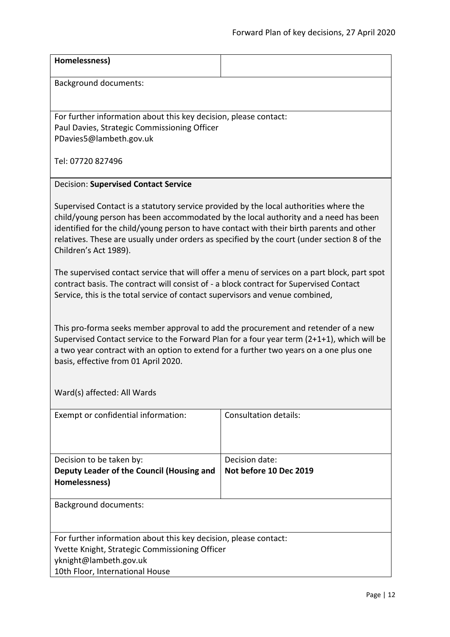<span id="page-11-0"></span>

| Homelessness)                                                                                                                                                                                                                                                                                                                                                                                    |                                          |  |
|--------------------------------------------------------------------------------------------------------------------------------------------------------------------------------------------------------------------------------------------------------------------------------------------------------------------------------------------------------------------------------------------------|------------------------------------------|--|
| <b>Background documents:</b>                                                                                                                                                                                                                                                                                                                                                                     |                                          |  |
| For further information about this key decision, please contact:                                                                                                                                                                                                                                                                                                                                 |                                          |  |
| Paul Davies, Strategic Commissioning Officer<br>PDavies5@lambeth.gov.uk                                                                                                                                                                                                                                                                                                                          |                                          |  |
| Tel: 07720 827496                                                                                                                                                                                                                                                                                                                                                                                |                                          |  |
| <b>Decision: Supervised Contact Service</b>                                                                                                                                                                                                                                                                                                                                                      |                                          |  |
| Supervised Contact is a statutory service provided by the local authorities where the<br>child/young person has been accommodated by the local authority and a need has been<br>identified for the child/young person to have contact with their birth parents and other<br>relatives. These are usually under orders as specified by the court (under section 8 of the<br>Children's Act 1989). |                                          |  |
| The supervised contact service that will offer a menu of services on a part block, part spot<br>contract basis. The contract will consist of - a block contract for Supervised Contact<br>Service, this is the total service of contact supervisors and venue combined,                                                                                                                          |                                          |  |
| This pro-forma seeks member approval to add the procurement and retender of a new<br>Supervised Contact service to the Forward Plan for a four year term (2+1+1), which will be<br>a two year contract with an option to extend for a further two years on a one plus one<br>basis, effective from 01 April 2020.                                                                                |                                          |  |
| Ward(s) affected: All Wards                                                                                                                                                                                                                                                                                                                                                                      |                                          |  |
| Exempt or confidential information:                                                                                                                                                                                                                                                                                                                                                              | <b>Consultation details:</b>             |  |
| Decision to be taken by:<br>Deputy Leader of the Council (Housing and<br>Homelessness)                                                                                                                                                                                                                                                                                                           | Decision date:<br>Not before 10 Dec 2019 |  |
| <b>Background documents:</b>                                                                                                                                                                                                                                                                                                                                                                     |                                          |  |
| For further information about this key decision, please contact:<br>Yvette Knight, Strategic Commissioning Officer                                                                                                                                                                                                                                                                               |                                          |  |
| yknight@lambeth.gov.uk                                                                                                                                                                                                                                                                                                                                                                           |                                          |  |
| 10th Floor, International House                                                                                                                                                                                                                                                                                                                                                                  |                                          |  |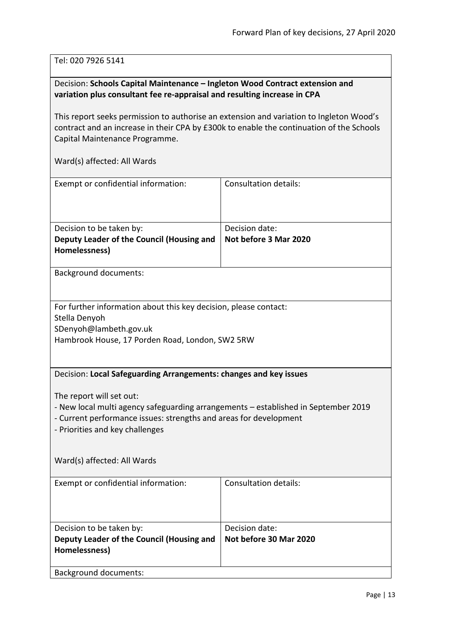Tel: 020 7926 5141

# <span id="page-12-0"></span>Decision: **Schools Capital Maintenance – Ingleton Wood Contract extension and variation plus consultant fee re-appraisal and resulting increase in CPA**

This report seeks permission to authorise an extension and variation to Ingleton Wood's contract and an increase in their CPA by £300k to enable the continuation of the Schools Capital Maintenance Programme.

<span id="page-12-1"></span>

| Exempt or confidential information:                                                                                                                                                                                    | <b>Consultation details:</b>            |  |
|------------------------------------------------------------------------------------------------------------------------------------------------------------------------------------------------------------------------|-----------------------------------------|--|
| Decision to be taken by:<br>Deputy Leader of the Council (Housing and<br>Homelessness)                                                                                                                                 | Decision date:<br>Not before 3 Mar 2020 |  |
| <b>Background documents:</b>                                                                                                                                                                                           |                                         |  |
| For further information about this key decision, please contact:<br>Stella Denyoh<br>SDenyoh@lambeth.gov.uk<br>Hambrook House, 17 Porden Road, London, SW2 5RW                                                         |                                         |  |
| Decision: Local Safeguarding Arrangements: changes and key issues                                                                                                                                                      |                                         |  |
| The report will set out:<br>- New local multi agency safeguarding arrangements – established in September 2019<br>- Current performance issues: strengths and areas for development<br>- Priorities and key challenges |                                         |  |
| Ward(s) affected: All Wards                                                                                                                                                                                            |                                         |  |
| Exempt or confidential information:                                                                                                                                                                                    | <b>Consultation details:</b>            |  |
| Decision to be taken by:                                                                                                                                                                                               | Decision date:                          |  |
| Deputy Leader of the Council (Housing and<br>Homelessness)                                                                                                                                                             | Not before 30 Mar 2020                  |  |
| <b>Background documents:</b>                                                                                                                                                                                           |                                         |  |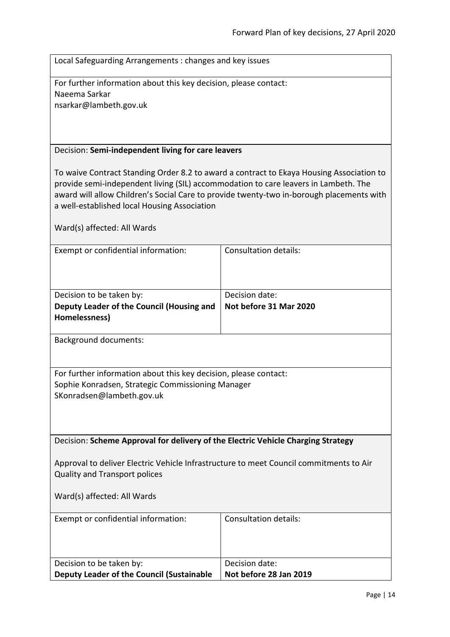Local Safeguarding Arrangements : changes and key issues

For further information about this key decision, please contact: Naeema Sarkar nsarkar@lambeth.gov.uk

#### <span id="page-13-0"></span>Decision: **Semi-independent living for care leavers**

To waive Contract Standing Order 8.2 to award a contract to Ekaya Housing Association to provide semi-independent living (SIL) accommodation to care leavers in Lambeth. The award will allow Children's Social Care to provide twenty-two in-borough placements with a well-established local Housing Association

Ward(s) affected: All Wards

| Exempt or confidential information:       | Consultation details:  |
|-------------------------------------------|------------------------|
| Decision to be taken by:                  | Decision date:         |
| Deputy Leader of the Council (Housing and | Not before 31 Mar 2020 |

Background documents:

**Homelessness)**

For further information about this key decision, please contact: Sophie Konradsen, Strategic Commissioning Manager SKonradsen@lambeth.gov.uk

<span id="page-13-1"></span>Decision: **Scheme Approval for delivery of the Electric Vehicle Charging Strategy**

Approval to deliver Electric Vehicle Infrastructure to meet Council commitments to Air Quality and Transport polices

| Exempt or confidential information:       | Consultation details:  |
|-------------------------------------------|------------------------|
| Decision to be taken by:                  | Decision date:         |
| Deputy Leader of the Council (Sustainable | Not before 28 Jan 2019 |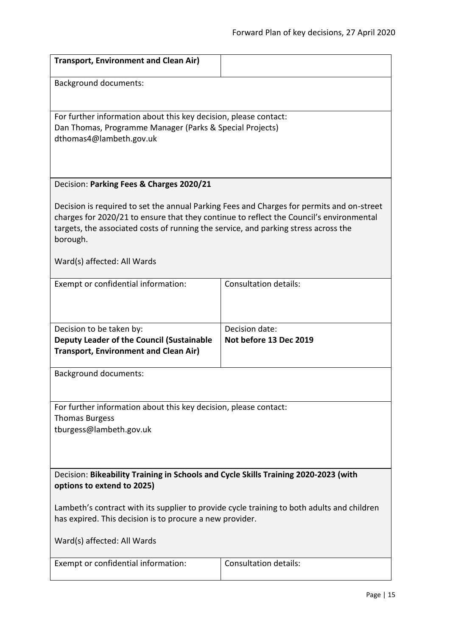<span id="page-14-1"></span><span id="page-14-0"></span>

| <b>Transport, Environment and Clean Air)</b>                                                                                                                                                                                                                                            |                                          |  |
|-----------------------------------------------------------------------------------------------------------------------------------------------------------------------------------------------------------------------------------------------------------------------------------------|------------------------------------------|--|
| <b>Background documents:</b>                                                                                                                                                                                                                                                            |                                          |  |
| For further information about this key decision, please contact:<br>Dan Thomas, Programme Manager (Parks & Special Projects)<br>dthomas4@lambeth.gov.uk                                                                                                                                 |                                          |  |
|                                                                                                                                                                                                                                                                                         |                                          |  |
| Decision: Parking Fees & Charges 2020/21                                                                                                                                                                                                                                                |                                          |  |
| Decision is required to set the annual Parking Fees and Charges for permits and on-street<br>charges for 2020/21 to ensure that they continue to reflect the Council's environmental<br>targets, the associated costs of running the service, and parking stress across the<br>borough. |                                          |  |
| Ward(s) affected: All Wards                                                                                                                                                                                                                                                             |                                          |  |
| Exempt or confidential information:                                                                                                                                                                                                                                                     | <b>Consultation details:</b>             |  |
| Decision to be taken by:<br>Deputy Leader of the Council (Sustainable<br><b>Transport, Environment and Clean Air)</b>                                                                                                                                                                   | Decision date:<br>Not before 13 Dec 2019 |  |
| <b>Background documents:</b>                                                                                                                                                                                                                                                            |                                          |  |
| For further information about this key decision, please contact:<br><b>Thomas Burgess</b><br>tburgess@lambeth.gov.uk                                                                                                                                                                    |                                          |  |
| Decision: Bikeability Training in Schools and Cycle Skills Training 2020-2023 (with<br>options to extend to 2025)                                                                                                                                                                       |                                          |  |
| Lambeth's contract with its supplier to provide cycle training to both adults and children<br>has expired. This decision is to procure a new provider.                                                                                                                                  |                                          |  |
| Ward(s) affected: All Wards                                                                                                                                                                                                                                                             |                                          |  |
| Exempt or confidential information:                                                                                                                                                                                                                                                     | Consultation details:                    |  |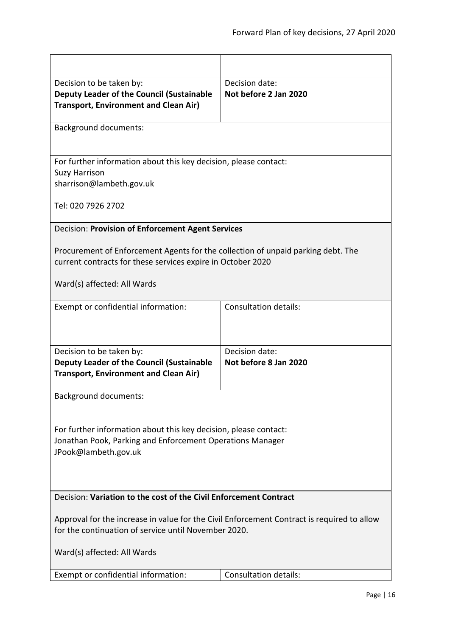<span id="page-15-1"></span><span id="page-15-0"></span>

| Decision to be taken by:                                                                   | Decision date:               |  |
|--------------------------------------------------------------------------------------------|------------------------------|--|
| <b>Deputy Leader of the Council (Sustainable</b>                                           | Not before 2 Jan 2020        |  |
| <b>Transport, Environment and Clean Air)</b>                                               |                              |  |
|                                                                                            |                              |  |
| <b>Background documents:</b>                                                               |                              |  |
|                                                                                            |                              |  |
| For further information about this key decision, please contact:                           |                              |  |
| <b>Suzy Harrison</b>                                                                       |                              |  |
| sharrison@lambeth.gov.uk                                                                   |                              |  |
| Tel: 020 7926 2702                                                                         |                              |  |
| Decision: Provision of Enforcement Agent Services                                          |                              |  |
|                                                                                            |                              |  |
| Procurement of Enforcement Agents for the collection of unpaid parking debt. The           |                              |  |
| current contracts for these services expire in October 2020                                |                              |  |
|                                                                                            |                              |  |
| Ward(s) affected: All Wards                                                                |                              |  |
| Exempt or confidential information:                                                        | <b>Consultation details:</b> |  |
|                                                                                            |                              |  |
|                                                                                            |                              |  |
|                                                                                            |                              |  |
| Decision to be taken by:                                                                   | Decision date:               |  |
| Deputy Leader of the Council (Sustainable                                                  | Not before 8 Jan 2020        |  |
| <b>Transport, Environment and Clean Air)</b>                                               |                              |  |
|                                                                                            |                              |  |
| <b>Background documents:</b>                                                               |                              |  |
|                                                                                            |                              |  |
|                                                                                            |                              |  |
| For further information about this key decision, please contact:                           |                              |  |
| Jonathan Pook, Parking and Enforcement Operations Manager                                  |                              |  |
| JPook@lambeth.gov.uk                                                                       |                              |  |
|                                                                                            |                              |  |
|                                                                                            |                              |  |
|                                                                                            |                              |  |
| Decision: Variation to the cost of the Civil Enforcement Contract                          |                              |  |
|                                                                                            |                              |  |
| Approval for the increase in value for the Civil Enforcement Contract is required to allow |                              |  |
| for the continuation of service until November 2020.                                       |                              |  |
|                                                                                            |                              |  |
| Ward(s) affected: All Wards                                                                |                              |  |
|                                                                                            | <b>Consultation details:</b> |  |
| Exempt or confidential information:                                                        |                              |  |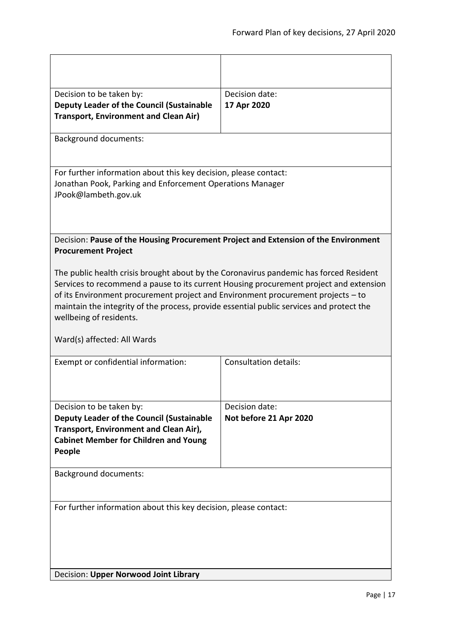<span id="page-16-1"></span><span id="page-16-0"></span>

| Decision to be taken by:<br>Deputy Leader of the Council (Sustainable<br><b>Transport, Environment and Clean Air)</b>                                                                                                                                                                                                                                                                                                      | Decision date:<br>17 Apr 2020            |  |
|----------------------------------------------------------------------------------------------------------------------------------------------------------------------------------------------------------------------------------------------------------------------------------------------------------------------------------------------------------------------------------------------------------------------------|------------------------------------------|--|
| <b>Background documents:</b>                                                                                                                                                                                                                                                                                                                                                                                               |                                          |  |
| For further information about this key decision, please contact:<br>Jonathan Pook, Parking and Enforcement Operations Manager<br>JPook@lambeth.gov.uk                                                                                                                                                                                                                                                                      |                                          |  |
| Decision: Pause of the Housing Procurement Project and Extension of the Environment<br><b>Procurement Project</b>                                                                                                                                                                                                                                                                                                          |                                          |  |
| The public health crisis brought about by the Coronavirus pandemic has forced Resident<br>Services to recommend a pause to its current Housing procurement project and extension<br>of its Environment procurement project and Environment procurement projects – to<br>maintain the integrity of the process, provide essential public services and protect the<br>wellbeing of residents.<br>Ward(s) affected: All Wards |                                          |  |
| Exempt or confidential information:                                                                                                                                                                                                                                                                                                                                                                                        | <b>Consultation details:</b>             |  |
| Decision to be taken by:<br>Deputy Leader of the Council (Sustainable<br>Transport, Environment and Clean Air),<br><b>Cabinet Member for Children and Young</b><br>People                                                                                                                                                                                                                                                  | Decision date:<br>Not before 21 Apr 2020 |  |
| <b>Background documents:</b>                                                                                                                                                                                                                                                                                                                                                                                               |                                          |  |
| For further information about this key decision, please contact:<br>Decision: Upper Norwood Joint Library                                                                                                                                                                                                                                                                                                                  |                                          |  |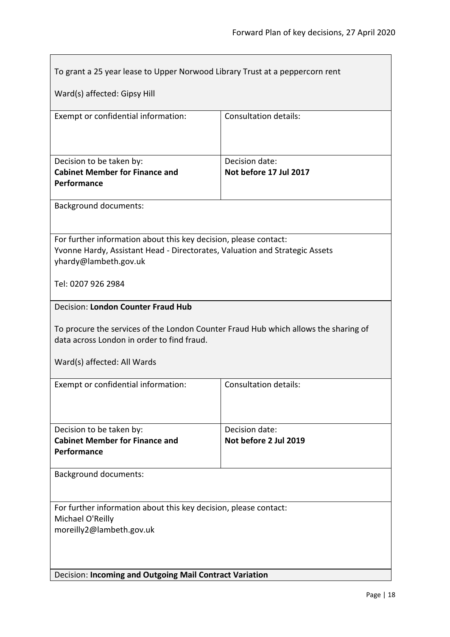<span id="page-17-1"></span><span id="page-17-0"></span>

| To grant a 25 year lease to Upper Norwood Library Trust at a peppercorn rent                                                                                                                                  |                                          |  |
|---------------------------------------------------------------------------------------------------------------------------------------------------------------------------------------------------------------|------------------------------------------|--|
| Ward(s) affected: Gipsy Hill                                                                                                                                                                                  |                                          |  |
| Exempt or confidential information:                                                                                                                                                                           | <b>Consultation details:</b>             |  |
| Decision to be taken by:<br><b>Cabinet Member for Finance and</b><br>Performance                                                                                                                              | Decision date:<br>Not before 17 Jul 2017 |  |
| <b>Background documents:</b>                                                                                                                                                                                  |                                          |  |
| For further information about this key decision, please contact:<br>Yvonne Hardy, Assistant Head - Directorates, Valuation and Strategic Assets<br>yhardy@lambeth.gov.uk                                      |                                          |  |
| Tel: 0207 926 2984                                                                                                                                                                                            |                                          |  |
| <b>Decision: London Counter Fraud Hub</b><br>To procure the services of the London Counter Fraud Hub which allows the sharing of<br>data across London in order to find fraud.<br>Ward(s) affected: All Wards |                                          |  |
| Exempt or confidential information:                                                                                                                                                                           | <b>Consultation details:</b>             |  |
| Decision to be taken by:<br><b>Cabinet Member for Finance and</b><br>Performance                                                                                                                              | Decision date:<br>Not before 2 Jul 2019  |  |
| <b>Background documents:</b>                                                                                                                                                                                  |                                          |  |
| For further information about this key decision, please contact:<br>Michael O'Reilly<br>moreilly2@lambeth.gov.uk                                                                                              |                                          |  |
| Decision: Incoming and Outgoing Mail Contract Variation                                                                                                                                                       |                                          |  |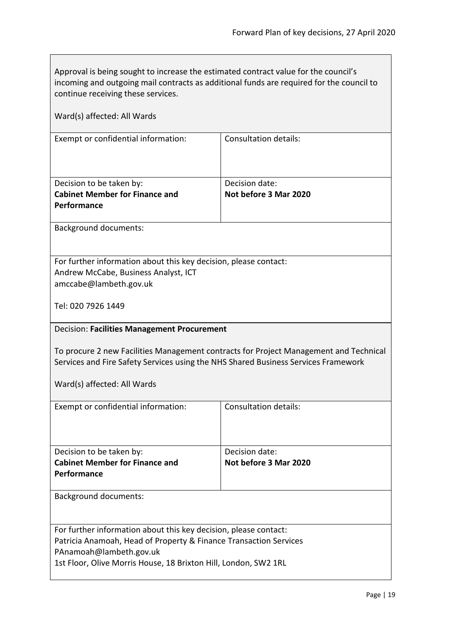<span id="page-18-0"></span> $\overline{\phantom{0}}$ 

| Approval is being sought to increase the estimated contract value for the council's<br>incoming and outgoing mail contracts as additional funds are required for the council to<br>continue receiving these services.                                     |                                         |  |
|-----------------------------------------------------------------------------------------------------------------------------------------------------------------------------------------------------------------------------------------------------------|-----------------------------------------|--|
| Ward(s) affected: All Wards                                                                                                                                                                                                                               |                                         |  |
| Exempt or confidential information:                                                                                                                                                                                                                       | <b>Consultation details:</b>            |  |
| Decision to be taken by:<br><b>Cabinet Member for Finance and</b><br>Performance                                                                                                                                                                          | Decision date:<br>Not before 3 Mar 2020 |  |
| <b>Background documents:</b>                                                                                                                                                                                                                              |                                         |  |
| For further information about this key decision, please contact:<br>Andrew McCabe, Business Analyst, ICT<br>amccabe@lambeth.gov.uk<br>Tel: 020 7926 1449                                                                                                  |                                         |  |
| Decision: Facilities Management Procurement<br>To procure 2 new Facilities Management contracts for Project Management and Technical<br>Services and Fire Safety Services using the NHS Shared Business Services Framework<br>Ward(s) affected: All Wards |                                         |  |
| Exempt or confidential information:                                                                                                                                                                                                                       | <b>Consultation details:</b>            |  |
| Decision to be taken by:<br><b>Cabinet Member for Finance and</b><br>Performance                                                                                                                                                                          | Decision date:<br>Not before 3 Mar 2020 |  |
| <b>Background documents:</b>                                                                                                                                                                                                                              |                                         |  |
| For further information about this key decision, please contact:<br>Patricia Anamoah, Head of Property & Finance Transaction Services<br>PAnamoah@lambeth.gov.uk<br>1st Floor, Olive Morris House, 18 Brixton Hill, London, SW2 1RL                       |                                         |  |

 $\mathsf{r}$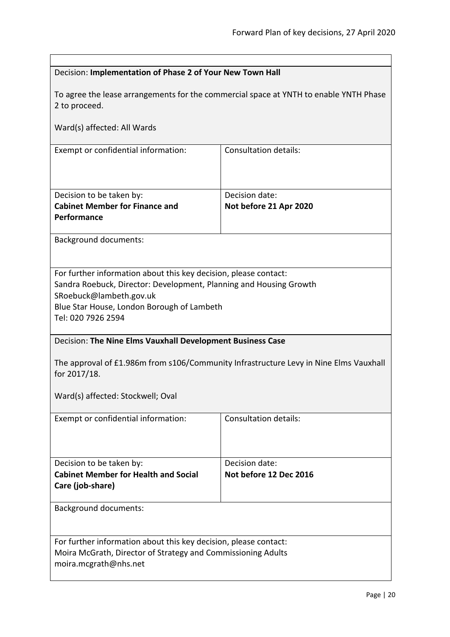<span id="page-19-1"></span><span id="page-19-0"></span>

| Decision: Implementation of Phase 2 of Your New Town Hall                                                                                                                                                                             |                                                                                       |  |
|---------------------------------------------------------------------------------------------------------------------------------------------------------------------------------------------------------------------------------------|---------------------------------------------------------------------------------------|--|
| 2 to proceed.                                                                                                                                                                                                                         | To agree the lease arrangements for the commercial space at YNTH to enable YNTH Phase |  |
| Ward(s) affected: All Wards                                                                                                                                                                                                           |                                                                                       |  |
| Exempt or confidential information:                                                                                                                                                                                                   | <b>Consultation details:</b>                                                          |  |
| Decision to be taken by:<br><b>Cabinet Member for Finance and</b><br>Performance                                                                                                                                                      | Decision date:<br>Not before 21 Apr 2020                                              |  |
| <b>Background documents:</b>                                                                                                                                                                                                          |                                                                                       |  |
| For further information about this key decision, please contact:<br>Sandra Roebuck, Director: Development, Planning and Housing Growth<br>SRoebuck@lambeth.gov.uk<br>Blue Star House, London Borough of Lambeth<br>Tel: 020 7926 2594 |                                                                                       |  |
| Decision: The Nine Elms Vauxhall Development Business Case                                                                                                                                                                            |                                                                                       |  |
| The approval of £1.986m from s106/Community Infrastructure Levy in Nine Elms Vauxhall<br>for 2017/18.                                                                                                                                 |                                                                                       |  |
| Ward(s) affected: Stockwell; Oval                                                                                                                                                                                                     |                                                                                       |  |
| Exempt or confidential information:                                                                                                                                                                                                   | <b>Consultation details:</b>                                                          |  |
| Decision to be taken by:<br><b>Cabinet Member for Health and Social</b><br>Care (job-share)                                                                                                                                           | Decision date:<br>Not before 12 Dec 2016                                              |  |
| <b>Background documents:</b>                                                                                                                                                                                                          |                                                                                       |  |
| For further information about this key decision, please contact:<br>Moira McGrath, Director of Strategy and Commissioning Adults<br>moira.mcgrath@nhs.net                                                                             |                                                                                       |  |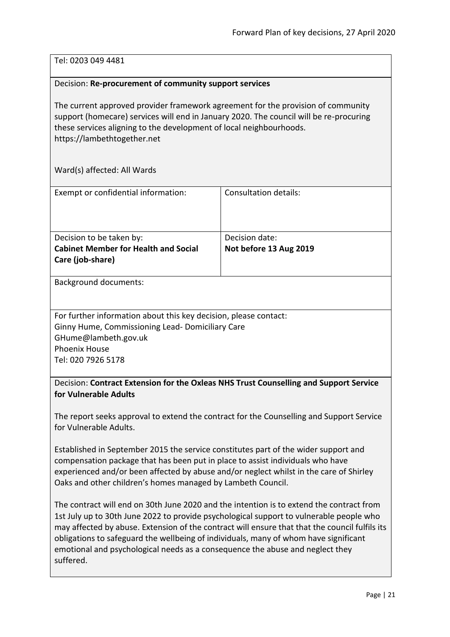# Tel: 0203 049 4481

#### <span id="page-20-0"></span>Decision: **Re-procurement of community support services**

The current approved provider framework agreement for the provision of community support (homecare) services will end in January 2020. The council will be re-procuring these services aligning to the development of local neighbourhoods. https://lambethtogether.net

Ward(s) affected: All Wards

| Exempt or confidential information:                                                         | <b>Consultation details:</b>             |
|---------------------------------------------------------------------------------------------|------------------------------------------|
| Decision to be taken by:<br><b>Cabinet Member for Health and Social</b><br>Care (job-share) | Decision date:<br>Not before 13 Aug 2019 |
| <b>Background documents:</b>                                                                |                                          |

For further information about this key decision, please contact: Ginny Hume, Commissioning Lead- Domiciliary Care GHume@lambeth.gov.uk Phoenix House Tel: 020 7926 5178

<span id="page-20-1"></span>Decision: **Contract Extension for the Oxleas NHS Trust Counselling and Support Service for Vulnerable Adults**

The report seeks approval to extend the contract for the Counselling and Support Service for Vulnerable Adults.

Established in September 2015 the service constitutes part of the wider support and compensation package that has been put in place to assist individuals who have experienced and/or been affected by abuse and/or neglect whilst in the care of Shirley Oaks and other children's homes managed by Lambeth Council.

The contract will end on 30th June 2020 and the intention is to extend the contract from 1st July up to 30th June 2022 to provide psychological support to vulnerable people who may affected by abuse. Extension of the contract will ensure that that the council fulfils its obligations to safeguard the wellbeing of individuals, many of whom have significant emotional and psychological needs as a consequence the abuse and neglect they suffered.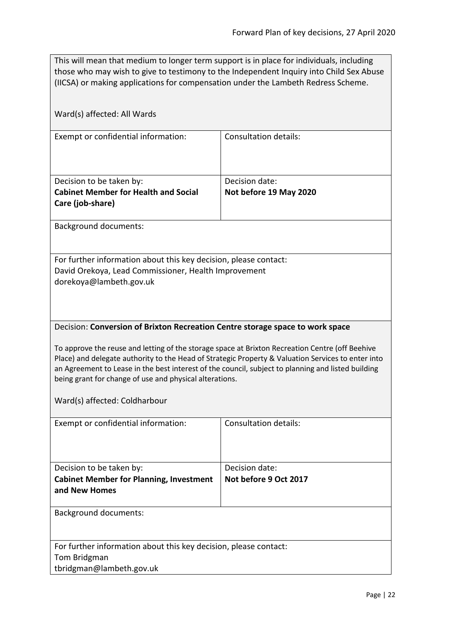| This will mean that medium to longer term support is in place for individuals, including |
|------------------------------------------------------------------------------------------|
| those who may wish to give to testimony to the Independent Inquiry into Child Sex Abuse  |
| (IICSA) or making applications for compensation under the Lambeth Redress Scheme.        |

<span id="page-21-0"></span>

| Ward(s) affected: All Wards                                                                                                                                                                                                                                                                                                                                                                                                                                                              |                                         |  |
|------------------------------------------------------------------------------------------------------------------------------------------------------------------------------------------------------------------------------------------------------------------------------------------------------------------------------------------------------------------------------------------------------------------------------------------------------------------------------------------|-----------------------------------------|--|
| Exempt or confidential information:                                                                                                                                                                                                                                                                                                                                                                                                                                                      | <b>Consultation details:</b>            |  |
| Decision to be taken by:                                                                                                                                                                                                                                                                                                                                                                                                                                                                 | Decision date:                          |  |
| <b>Cabinet Member for Health and Social</b><br>Care (job-share)                                                                                                                                                                                                                                                                                                                                                                                                                          | Not before 19 May 2020                  |  |
|                                                                                                                                                                                                                                                                                                                                                                                                                                                                                          |                                         |  |
| <b>Background documents:</b>                                                                                                                                                                                                                                                                                                                                                                                                                                                             |                                         |  |
| For further information about this key decision, please contact:<br>David Orekoya, Lead Commissioner, Health Improvement<br>dorekoya@lambeth.gov.uk                                                                                                                                                                                                                                                                                                                                      |                                         |  |
| Decision: Conversion of Brixton Recreation Centre storage space to work space<br>To approve the reuse and letting of the storage space at Brixton Recreation Centre (off Beehive<br>Place) and delegate authority to the Head of Strategic Property & Valuation Services to enter into<br>an Agreement to Lease in the best interest of the council, subject to planning and listed building<br>being grant for change of use and physical alterations.<br>Ward(s) affected: Coldharbour |                                         |  |
| Exempt or confidential information:                                                                                                                                                                                                                                                                                                                                                                                                                                                      | <b>Consultation details:</b>            |  |
| Decision to be taken by:<br><b>Cabinet Member for Planning, Investment</b><br>and New Homes                                                                                                                                                                                                                                                                                                                                                                                              | Decision date:<br>Not before 9 Oct 2017 |  |
| <b>Background documents:</b>                                                                                                                                                                                                                                                                                                                                                                                                                                                             |                                         |  |
| For further information about this key decision, please contact:<br>Tom Bridgman<br>tbridgman@lambeth.gov.uk                                                                                                                                                                                                                                                                                                                                                                             |                                         |  |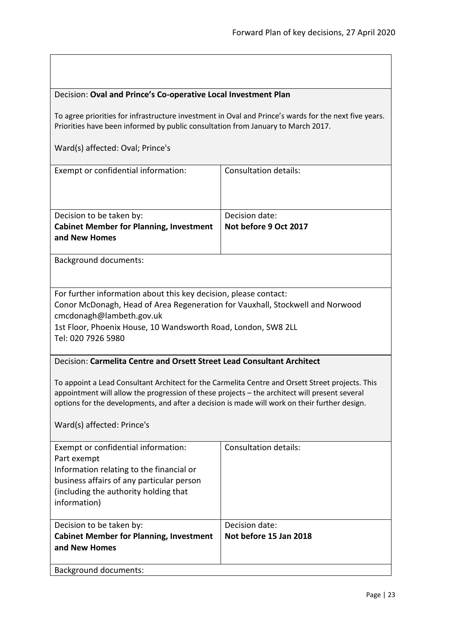<span id="page-22-1"></span><span id="page-22-0"></span>

| Decision: Oval and Prince's Co-operative Local Investment Plan                                                                                                                                                                                                                                                                   |                                                                                                       |  |
|----------------------------------------------------------------------------------------------------------------------------------------------------------------------------------------------------------------------------------------------------------------------------------------------------------------------------------|-------------------------------------------------------------------------------------------------------|--|
| Priorities have been informed by public consultation from January to March 2017.                                                                                                                                                                                                                                                 | To agree priorities for infrastructure investment in Oval and Prince's wards for the next five years. |  |
| Ward(s) affected: Oval; Prince's                                                                                                                                                                                                                                                                                                 |                                                                                                       |  |
| Exempt or confidential information:                                                                                                                                                                                                                                                                                              | <b>Consultation details:</b>                                                                          |  |
| Decision to be taken by:<br><b>Cabinet Member for Planning, Investment</b><br>and New Homes                                                                                                                                                                                                                                      | Decision date:<br>Not before 9 Oct 2017                                                               |  |
| <b>Background documents:</b>                                                                                                                                                                                                                                                                                                     |                                                                                                       |  |
| For further information about this key decision, please contact:<br>Conor McDonagh, Head of Area Regeneration for Vauxhall, Stockwell and Norwood<br>cmcdonagh@lambeth.gov.uk<br>1st Floor, Phoenix House, 10 Wandsworth Road, London, SW8 2LL<br>Tel: 020 7926 5980                                                             |                                                                                                       |  |
| Decision: Carmelita Centre and Orsett Street Lead Consultant Architect                                                                                                                                                                                                                                                           |                                                                                                       |  |
| To appoint a Lead Consultant Architect for the Carmelita Centre and Orsett Street projects. This<br>appointment will allow the progression of these projects - the architect will present several<br>options for the developments, and after a decision is made will work on their further design.<br>Ward(s) affected: Prince's |                                                                                                       |  |
| Exempt or confidential information:<br>Part exempt<br>Information relating to the financial or<br>business affairs of any particular person<br>(including the authority holding that<br>information)                                                                                                                             | <b>Consultation details:</b>                                                                          |  |
| Decision to be taken by:<br><b>Cabinet Member for Planning, Investment</b><br>and New Homes                                                                                                                                                                                                                                      | Decision date:<br>Not before 15 Jan 2018                                                              |  |
| <b>Background documents:</b>                                                                                                                                                                                                                                                                                                     |                                                                                                       |  |

 $\sqrt{ }$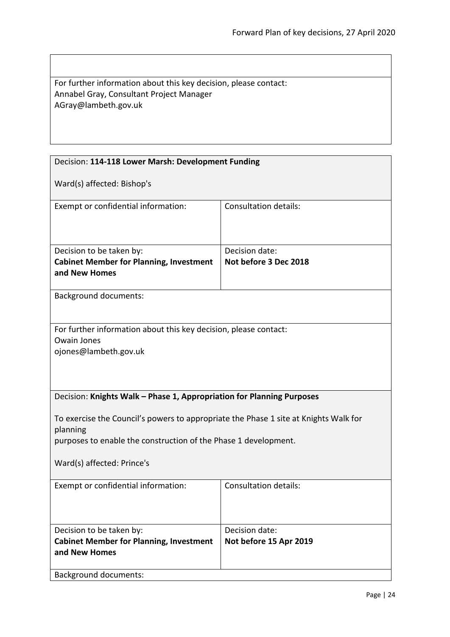| For further information about this key decision, please contact: |
|------------------------------------------------------------------|
| Annabel Gray, Consultant Project Manager                         |
| AGray@lambeth.gov.uk                                             |

<span id="page-23-1"></span><span id="page-23-0"></span>

| Decision: 114-118 Lower Marsh: Development Funding                                                                                                                                                |                                          |  |
|---------------------------------------------------------------------------------------------------------------------------------------------------------------------------------------------------|------------------------------------------|--|
| Ward(s) affected: Bishop's                                                                                                                                                                        |                                          |  |
| Exempt or confidential information:                                                                                                                                                               | <b>Consultation details:</b>             |  |
| Decision to be taken by:<br><b>Cabinet Member for Planning, Investment</b><br>and New Homes                                                                                                       | Decision date:<br>Not before 3 Dec 2018  |  |
| <b>Background documents:</b>                                                                                                                                                                      |                                          |  |
| For further information about this key decision, please contact:<br>Owain Jones<br>ojones@lambeth.gov.uk                                                                                          |                                          |  |
| Decision: Knights Walk - Phase 1, Appropriation for Planning Purposes                                                                                                                             |                                          |  |
| To exercise the Council's powers to appropriate the Phase 1 site at Knights Walk for<br>planning<br>purposes to enable the construction of the Phase 1 development.<br>Ward(s) affected: Prince's |                                          |  |
| Exempt or confidential information:                                                                                                                                                               | <b>Consultation details:</b>             |  |
| Decision to be taken by:<br><b>Cabinet Member for Planning, Investment</b><br>and New Homes<br><b>Background documents:</b>                                                                       | Decision date:<br>Not before 15 Apr 2019 |  |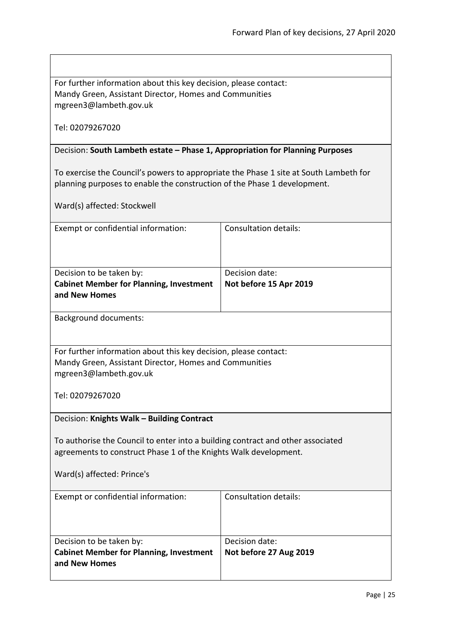For further information about this key decision, please contact: Mandy Green, Assistant Director, Homes and Communities mgreen3@lambeth.gov.uk

Tel: 02079267020

# <span id="page-24-0"></span>Decision: **South Lambeth estate – Phase 1, Appropriation for Planning Purposes**

To exercise the Council's powers to appropriate the Phase 1 site at South Lambeth for planning purposes to enable the construction of the Phase 1 development.

Ward(s) affected: Stockwell

<span id="page-24-1"></span>

| Exempt or confidential information:                                                                                                                                               | <b>Consultation details:</b>             |  |
|-----------------------------------------------------------------------------------------------------------------------------------------------------------------------------------|------------------------------------------|--|
| Decision to be taken by:<br><b>Cabinet Member for Planning, Investment</b><br>and New Homes                                                                                       | Decision date:<br>Not before 15 Apr 2019 |  |
| <b>Background documents:</b>                                                                                                                                                      |                                          |  |
| For further information about this key decision, please contact:<br>Mandy Green, Assistant Director, Homes and Communities<br>mgreen3@lambeth.gov.uk                              |                                          |  |
| Tel: 02079267020<br>Decision: Knights Walk - Building Contract                                                                                                                    |                                          |  |
| To authorise the Council to enter into a building contract and other associated<br>agreements to construct Phase 1 of the Knights Walk development.<br>Ward(s) affected: Prince's |                                          |  |
| Exempt or confidential information:                                                                                                                                               | Consultation details:                    |  |
| Decision to be taken by:<br><b>Cabinet Member for Planning, Investment</b><br>and New Homes                                                                                       | Decision date:<br>Not before 27 Aug 2019 |  |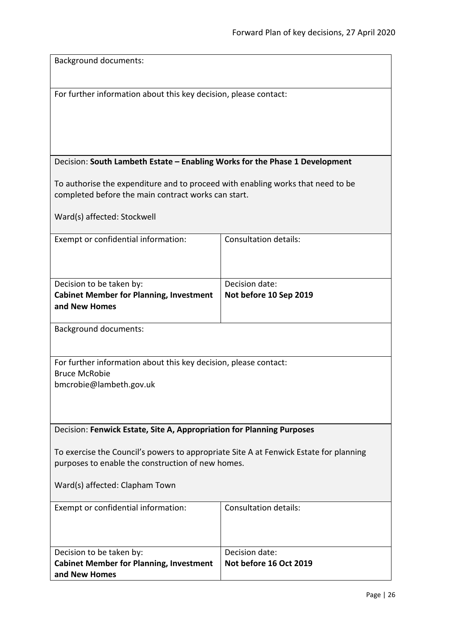<span id="page-25-1"></span><span id="page-25-0"></span>

| <b>Background documents:</b>                                                          |                              |
|---------------------------------------------------------------------------------------|------------------------------|
|                                                                                       |                              |
|                                                                                       |                              |
| For further information about this key decision, please contact:                      |                              |
|                                                                                       |                              |
|                                                                                       |                              |
|                                                                                       |                              |
|                                                                                       |                              |
| Decision: South Lambeth Estate - Enabling Works for the Phase 1 Development           |                              |
|                                                                                       |                              |
| To authorise the expenditure and to proceed with enabling works that need to be       |                              |
| completed before the main contract works can start.                                   |                              |
| Ward(s) affected: Stockwell                                                           |                              |
|                                                                                       |                              |
| Exempt or confidential information:                                                   | <b>Consultation details:</b> |
|                                                                                       |                              |
|                                                                                       |                              |
|                                                                                       |                              |
| Decision to be taken by:                                                              | Decision date:               |
| <b>Cabinet Member for Planning, Investment</b>                                        | Not before 10 Sep 2019       |
| and New Homes                                                                         |                              |
| <b>Background documents:</b>                                                          |                              |
|                                                                                       |                              |
|                                                                                       |                              |
| For further information about this key decision, please contact:                      |                              |
| <b>Bruce McRobie</b>                                                                  |                              |
| bmcrobie@lambeth.gov.uk                                                               |                              |
|                                                                                       |                              |
|                                                                                       |                              |
| Decision: Fenwick Estate, Site A, Appropriation for Planning Purposes                 |                              |
|                                                                                       |                              |
| To exercise the Council's powers to appropriate Site A at Fenwick Estate for planning |                              |
| purposes to enable the construction of new homes.                                     |                              |
|                                                                                       |                              |
| Ward(s) affected: Clapham Town                                                        |                              |
|                                                                                       | <b>Consultation details:</b> |
| Exempt or confidential information:                                                   |                              |
|                                                                                       |                              |
|                                                                                       |                              |
| Decision to be taken by:                                                              | Decision date:               |
| <b>Cabinet Member for Planning, Investment</b>                                        | Not before 16 Oct 2019       |
| and New Homes                                                                         |                              |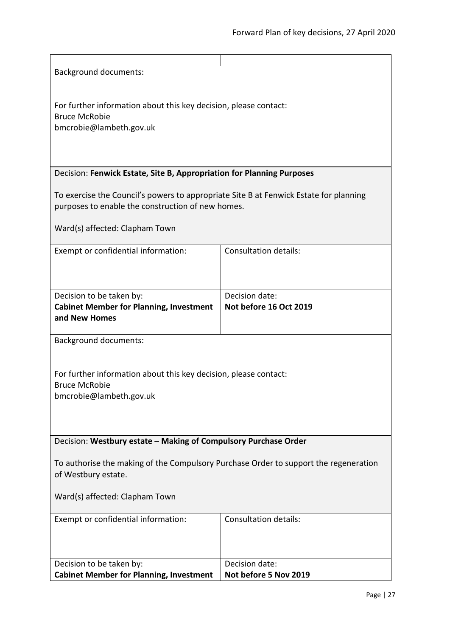<span id="page-26-1"></span><span id="page-26-0"></span>

| <b>Background documents:</b>                                                                                                               |                              |
|--------------------------------------------------------------------------------------------------------------------------------------------|------------------------------|
|                                                                                                                                            |                              |
|                                                                                                                                            |                              |
| For further information about this key decision, please contact:                                                                           |                              |
| <b>Bruce McRobie</b>                                                                                                                       |                              |
| bmcrobie@lambeth.gov.uk                                                                                                                    |                              |
|                                                                                                                                            |                              |
|                                                                                                                                            |                              |
|                                                                                                                                            |                              |
| Decision: Fenwick Estate, Site B, Appropriation for Planning Purposes                                                                      |                              |
|                                                                                                                                            |                              |
| To exercise the Council's powers to appropriate Site B at Fenwick Estate for planning<br>purposes to enable the construction of new homes. |                              |
|                                                                                                                                            |                              |
| Ward(s) affected: Clapham Town                                                                                                             |                              |
|                                                                                                                                            |                              |
| Exempt or confidential information:                                                                                                        | Consultation details:        |
|                                                                                                                                            |                              |
|                                                                                                                                            |                              |
|                                                                                                                                            |                              |
| Decision to be taken by:                                                                                                                   | Decision date:               |
| <b>Cabinet Member for Planning, Investment</b>                                                                                             | Not before 16 Oct 2019       |
| and New Homes                                                                                                                              |                              |
|                                                                                                                                            |                              |
| <b>Background documents:</b>                                                                                                               |                              |
|                                                                                                                                            |                              |
|                                                                                                                                            |                              |
| For further information about this key decision, please contact:<br><b>Bruce McRobie</b>                                                   |                              |
| bmcrobie@lambeth.gov.uk                                                                                                                    |                              |
|                                                                                                                                            |                              |
|                                                                                                                                            |                              |
|                                                                                                                                            |                              |
| Decision: Westbury estate - Making of Compulsory Purchase Order                                                                            |                              |
|                                                                                                                                            |                              |
| To authorise the making of the Compulsory Purchase Order to support the regeneration                                                       |                              |
| of Westbury estate.                                                                                                                        |                              |
|                                                                                                                                            |                              |
| Ward(s) affected: Clapham Town                                                                                                             |                              |
| Exempt or confidential information:                                                                                                        | <b>Consultation details:</b> |
|                                                                                                                                            |                              |
|                                                                                                                                            |                              |
|                                                                                                                                            |                              |
| Decision to be taken by:                                                                                                                   | Decision date:               |
| <b>Cabinet Member for Planning, Investment</b>                                                                                             | Not before 5 Nov 2019        |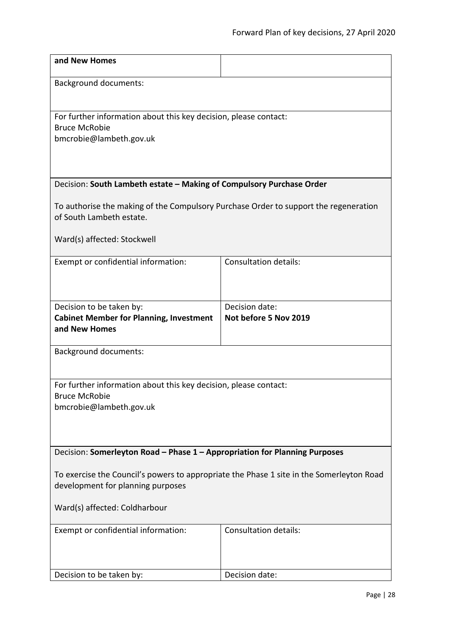<span id="page-27-1"></span><span id="page-27-0"></span>

| and New Homes                                                                                                    |                              |  |
|------------------------------------------------------------------------------------------------------------------|------------------------------|--|
| <b>Background documents:</b>                                                                                     |                              |  |
|                                                                                                                  |                              |  |
| For further information about this key decision, please contact:                                                 |                              |  |
| <b>Bruce McRobie</b><br>bmcrobie@lambeth.gov.uk                                                                  |                              |  |
|                                                                                                                  |                              |  |
|                                                                                                                  |                              |  |
| Decision: South Lambeth estate - Making of Compulsory Purchase Order                                             |                              |  |
| To authorise the making of the Compulsory Purchase Order to support the regeneration<br>of South Lambeth estate. |                              |  |
| Ward(s) affected: Stockwell                                                                                      |                              |  |
| Exempt or confidential information:                                                                              | <b>Consultation details:</b> |  |
|                                                                                                                  |                              |  |
| Decision to be taken by:                                                                                         | Decision date:               |  |
| <b>Cabinet Member for Planning, Investment</b><br>and New Homes                                                  | Not before 5 Nov 2019        |  |
|                                                                                                                  |                              |  |
| <b>Background documents:</b>                                                                                     |                              |  |
| For further information about this key decision, please contact:                                                 |                              |  |
| <b>Bruce McRobie</b>                                                                                             |                              |  |
| bmcrobie@lambeth.gov.uk                                                                                          |                              |  |
|                                                                                                                  |                              |  |
| Decision: Somerleyton Road - Phase 1 - Appropriation for Planning Purposes                                       |                              |  |
| To exercise the Council's powers to appropriate the Phase 1 site in the Somerleyton Road                         |                              |  |
| development for planning purposes                                                                                |                              |  |
| Ward(s) affected: Coldharbour                                                                                    |                              |  |
| Exempt or confidential information:                                                                              | <b>Consultation details:</b> |  |
|                                                                                                                  |                              |  |
| Decision to be taken by:                                                                                         | Decision date:               |  |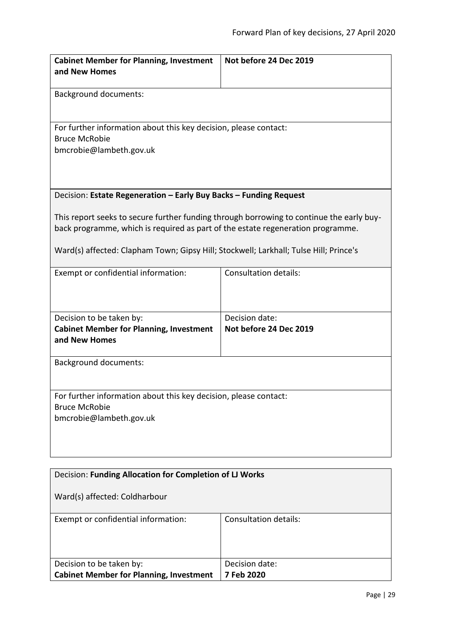<span id="page-28-0"></span>

| <b>Cabinet Member for Planning, Investment</b><br>and New Homes                                                                                                                                                                                                                                                                           | Not before 24 Dec 2019                   |  |
|-------------------------------------------------------------------------------------------------------------------------------------------------------------------------------------------------------------------------------------------------------------------------------------------------------------------------------------------|------------------------------------------|--|
| <b>Background documents:</b>                                                                                                                                                                                                                                                                                                              |                                          |  |
| For further information about this key decision, please contact:<br><b>Bruce McRobie</b><br>bmcrobie@lambeth.gov.uk                                                                                                                                                                                                                       |                                          |  |
| Decision: Estate Regeneration - Early Buy Backs - Funding Request<br>This report seeks to secure further funding through borrowing to continue the early buy-<br>back programme, which is required as part of the estate regeneration programme.<br>Ward(s) affected: Clapham Town; Gipsy Hill; Stockwell; Larkhall; Tulse Hill; Prince's |                                          |  |
| Exempt or confidential information:                                                                                                                                                                                                                                                                                                       | <b>Consultation details:</b>             |  |
| Decision to be taken by:<br><b>Cabinet Member for Planning, Investment</b><br>and New Homes                                                                                                                                                                                                                                               | Decision date:<br>Not before 24 Dec 2019 |  |
| <b>Background documents:</b>                                                                                                                                                                                                                                                                                                              |                                          |  |
| For further information about this key decision, please contact:<br><b>Bruce McRobie</b><br>bmcrobie@lambeth.gov.uk                                                                                                                                                                                                                       |                                          |  |
| Decision: Funding Allocation for Completion of LJ Works                                                                                                                                                                                                                                                                                   |                                          |  |

<span id="page-28-1"></span>

| Ward(s) affected: Coldharbour                  |                       |
|------------------------------------------------|-----------------------|
| Exempt or confidential information:            | Consultation details: |
|                                                |                       |
|                                                |                       |
|                                                |                       |
| Decision to be taken by:                       | Decision date:        |
| <b>Cabinet Member for Planning, Investment</b> | 7 Feb 2020            |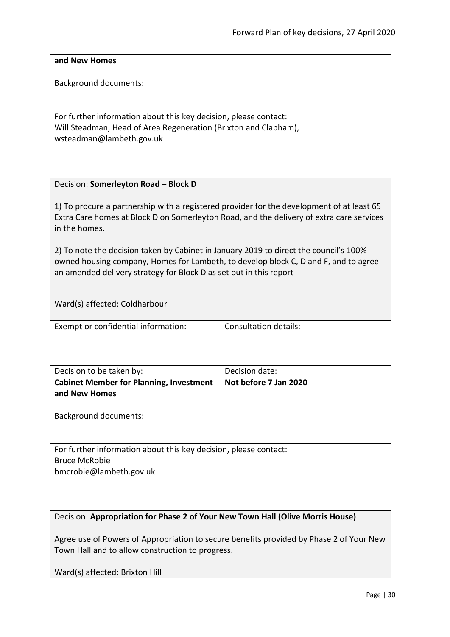<span id="page-29-1"></span><span id="page-29-0"></span>

| and New Homes                                                                                                                                                                                                                                      |                              |  |
|----------------------------------------------------------------------------------------------------------------------------------------------------------------------------------------------------------------------------------------------------|------------------------------|--|
| <b>Background documents:</b>                                                                                                                                                                                                                       |                              |  |
|                                                                                                                                                                                                                                                    |                              |  |
| For further information about this key decision, please contact:<br>Will Steadman, Head of Area Regeneration (Brixton and Clapham),                                                                                                                |                              |  |
| wsteadman@lambeth.gov.uk                                                                                                                                                                                                                           |                              |  |
|                                                                                                                                                                                                                                                    |                              |  |
| Decision: Somerleyton Road - Block D                                                                                                                                                                                                               |                              |  |
|                                                                                                                                                                                                                                                    |                              |  |
| 1) To procure a partnership with a registered provider for the development of at least 65<br>Extra Care homes at Block D on Somerleyton Road, and the delivery of extra care services<br>in the homes.                                             |                              |  |
| 2) To note the decision taken by Cabinet in January 2019 to direct the council's 100%<br>owned housing company, Homes for Lambeth, to develop block C, D and F, and to agree<br>an amended delivery strategy for Block D as set out in this report |                              |  |
| Ward(s) affected: Coldharbour                                                                                                                                                                                                                      |                              |  |
| Exempt or confidential information:                                                                                                                                                                                                                | <b>Consultation details:</b> |  |
|                                                                                                                                                                                                                                                    |                              |  |
| Decision to be taken by:                                                                                                                                                                                                                           | Decision date:               |  |
| <b>Cabinet Member for Planning, Investment</b><br>and New Homes                                                                                                                                                                                    | Not before 7 Jan 2020        |  |
| <b>Background documents:</b>                                                                                                                                                                                                                       |                              |  |
|                                                                                                                                                                                                                                                    |                              |  |
| For further information about this key decision, please contact:<br><b>Bruce McRobie</b>                                                                                                                                                           |                              |  |
| bmcrobie@lambeth.gov.uk                                                                                                                                                                                                                            |                              |  |
|                                                                                                                                                                                                                                                    |                              |  |
| Decision: Appropriation for Phase 2 of Your New Town Hall (Olive Morris House)                                                                                                                                                                     |                              |  |
| Agree use of Powers of Appropriation to secure benefits provided by Phase 2 of Your New                                                                                                                                                            |                              |  |
| Town Hall and to allow construction to progress.                                                                                                                                                                                                   |                              |  |
| Ward(s) affected: Brixton Hill                                                                                                                                                                                                                     |                              |  |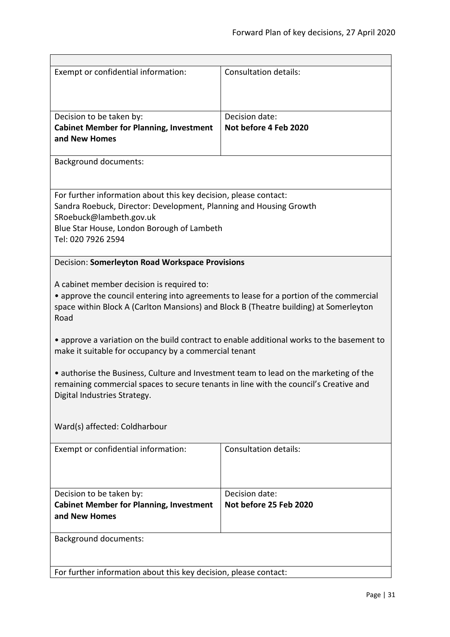<span id="page-30-0"></span>

| Exempt or confidential information:                                                                                                                                                                                                                                                                                                | <b>Consultation details:</b>             |  |
|------------------------------------------------------------------------------------------------------------------------------------------------------------------------------------------------------------------------------------------------------------------------------------------------------------------------------------|------------------------------------------|--|
| Decision to be taken by:<br><b>Cabinet Member for Planning, Investment</b><br>and New Homes                                                                                                                                                                                                                                        | Decision date:<br>Not before 4 Feb 2020  |  |
| <b>Background documents:</b>                                                                                                                                                                                                                                                                                                       |                                          |  |
| For further information about this key decision, please contact:<br>Sandra Roebuck, Director: Development, Planning and Housing Growth<br>SRoebuck@lambeth.gov.uk<br>Blue Star House, London Borough of Lambeth<br>Tel: 020 7926 2594                                                                                              |                                          |  |
| Decision: Somerleyton Road Workspace Provisions                                                                                                                                                                                                                                                                                    |                                          |  |
| A cabinet member decision is required to:<br>• approve the council entering into agreements to lease for a portion of the commercial<br>space within Block A (Carlton Mansions) and Block B (Theatre building) at Somerleyton<br>Road<br>• approve a variation on the build contract to enable additional works to the basement to |                                          |  |
| make it suitable for occupancy by a commercial tenant                                                                                                                                                                                                                                                                              |                                          |  |
| • authorise the Business, Culture and Investment team to lead on the marketing of the<br>remaining commercial spaces to secure tenants in line with the council's Creative and<br>Digital Industries Strategy.                                                                                                                     |                                          |  |
| Ward(s) affected: Coldharbour                                                                                                                                                                                                                                                                                                      |                                          |  |
| Exempt or confidential information:                                                                                                                                                                                                                                                                                                | <b>Consultation details:</b>             |  |
| Decision to be taken by:<br><b>Cabinet Member for Planning, Investment</b><br>and New Homes                                                                                                                                                                                                                                        | Decision date:<br>Not before 25 Feb 2020 |  |
| <b>Background documents:</b>                                                                                                                                                                                                                                                                                                       |                                          |  |
| For further information about this key decision, please contact:                                                                                                                                                                                                                                                                   |                                          |  |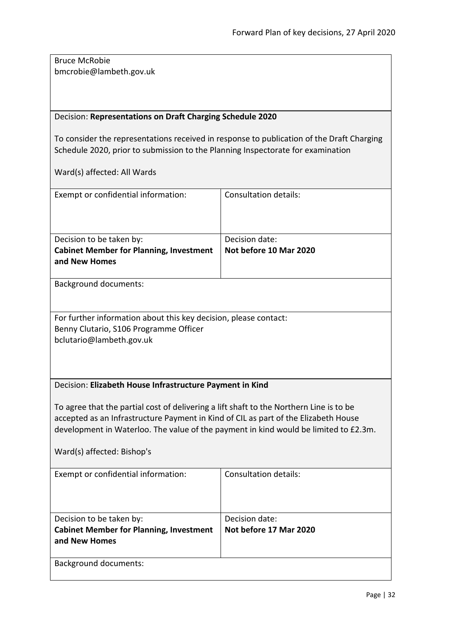Bruce McRobie bmcrobie@lambeth.gov.uk

# <span id="page-31-0"></span>Decision: **Representations on Draft Charging Schedule 2020**

To consider the representations received in response to publication of the Draft Charging Schedule 2020, prior to submission to the Planning Inspectorate for examination

<span id="page-31-1"></span>

| Exempt or confidential information:                                                                                                                                                                                                                                                                  | <b>Consultation details:</b> |  |
|------------------------------------------------------------------------------------------------------------------------------------------------------------------------------------------------------------------------------------------------------------------------------------------------------|------------------------------|--|
| Decision to be taken by:                                                                                                                                                                                                                                                                             | Decision date:               |  |
| <b>Cabinet Member for Planning, Investment</b><br>and New Homes                                                                                                                                                                                                                                      | Not before 10 Mar 2020       |  |
| <b>Background documents:</b>                                                                                                                                                                                                                                                                         |                              |  |
| For further information about this key decision, please contact:<br>Benny Clutario, S106 Programme Officer<br>bclutario@lambeth.gov.uk                                                                                                                                                               |                              |  |
| Decision: Elizabeth House Infrastructure Payment in Kind                                                                                                                                                                                                                                             |                              |  |
| To agree that the partial cost of delivering a lift shaft to the Northern Line is to be<br>accepted as an Infrastructure Payment in Kind of CIL as part of the Elizabeth House<br>development in Waterloo. The value of the payment in kind would be limited to £2.3m.<br>Ward(s) affected: Bishop's |                              |  |
| Exempt or confidential information:                                                                                                                                                                                                                                                                  | <b>Consultation details:</b> |  |
| Decision to be taken by:                                                                                                                                                                                                                                                                             | Decision date:               |  |
| <b>Cabinet Member for Planning, Investment</b><br>and New Homes                                                                                                                                                                                                                                      | Not before 17 Mar 2020       |  |
| <b>Background documents:</b>                                                                                                                                                                                                                                                                         |                              |  |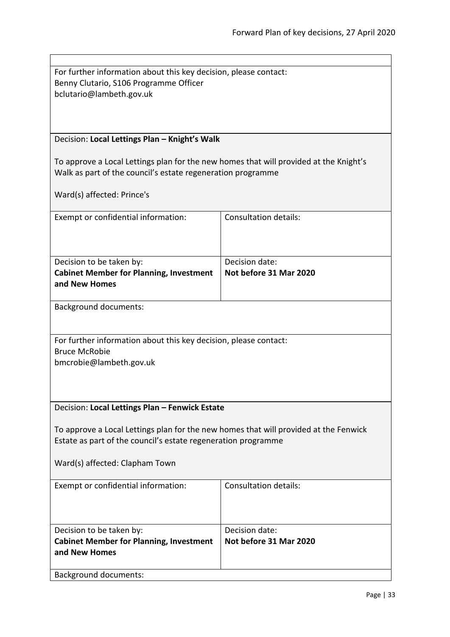<span id="page-32-1"></span><span id="page-32-0"></span>

| For further information about this key decision, please contact:                      |                              |  |
|---------------------------------------------------------------------------------------|------------------------------|--|
| Benny Clutario, S106 Programme Officer                                                |                              |  |
| bclutario@lambeth.gov.uk                                                              |                              |  |
|                                                                                       |                              |  |
|                                                                                       |                              |  |
|                                                                                       |                              |  |
| Decision: Local Lettings Plan - Knight's Walk                                         |                              |  |
|                                                                                       |                              |  |
| To approve a Local Lettings plan for the new homes that will provided at the Knight's |                              |  |
|                                                                                       |                              |  |
| Walk as part of the council's estate regeneration programme                           |                              |  |
|                                                                                       |                              |  |
| Ward(s) affected: Prince's                                                            |                              |  |
|                                                                                       |                              |  |
| Exempt or confidential information:                                                   | <b>Consultation details:</b> |  |
|                                                                                       |                              |  |
|                                                                                       |                              |  |
|                                                                                       |                              |  |
| Decision to be taken by:                                                              | Decision date:               |  |
| <b>Cabinet Member for Planning, Investment</b>                                        | Not before 31 Mar 2020       |  |
| and New Homes                                                                         |                              |  |
|                                                                                       |                              |  |
| <b>Background documents:</b>                                                          |                              |  |
|                                                                                       |                              |  |
|                                                                                       |                              |  |
| For further information about this key decision, please contact:                      |                              |  |
| <b>Bruce McRobie</b>                                                                  |                              |  |
| bmcrobie@lambeth.gov.uk                                                               |                              |  |
|                                                                                       |                              |  |
|                                                                                       |                              |  |
|                                                                                       |                              |  |
|                                                                                       |                              |  |
| Decision: Local Lettings Plan - Fenwick Estate                                        |                              |  |
|                                                                                       |                              |  |
| To approve a Local Lettings plan for the new homes that will provided at the Fenwick  |                              |  |
| Estate as part of the council's estate regeneration programme                         |                              |  |
|                                                                                       |                              |  |
| Ward(s) affected: Clapham Town                                                        |                              |  |
|                                                                                       |                              |  |
| Exempt or confidential information:                                                   | <b>Consultation details:</b> |  |
|                                                                                       |                              |  |
|                                                                                       |                              |  |
|                                                                                       |                              |  |
| Decision date:<br>Decision to be taken by:                                            |                              |  |
| <b>Cabinet Member for Planning, Investment</b>                                        | Not before 31 Mar 2020       |  |
| and New Homes                                                                         |                              |  |
|                                                                                       |                              |  |
| <b>Background documents:</b>                                                          |                              |  |
|                                                                                       |                              |  |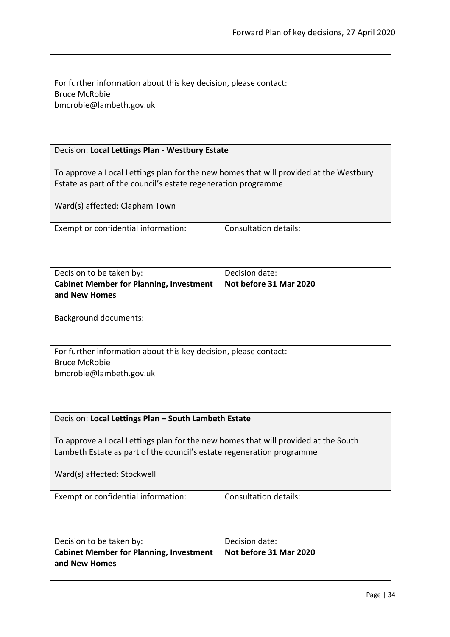<span id="page-33-1"></span><span id="page-33-0"></span>

| For further information about this key decision, please contact:                         |                                          |  |
|------------------------------------------------------------------------------------------|------------------------------------------|--|
| <b>Bruce McRobie</b><br>bmcrobie@lambeth.gov.uk                                          |                                          |  |
|                                                                                          |                                          |  |
|                                                                                          |                                          |  |
| Decision: Local Lettings Plan - Westbury Estate                                          |                                          |  |
| To approve a Local Lettings plan for the new homes that will provided at the Westbury    |                                          |  |
| Estate as part of the council's estate regeneration programme                            |                                          |  |
|                                                                                          |                                          |  |
| Ward(s) affected: Clapham Town                                                           |                                          |  |
| Exempt or confidential information:                                                      | <b>Consultation details:</b>             |  |
|                                                                                          |                                          |  |
|                                                                                          |                                          |  |
| Decision date:<br>Decision to be taken by:<br>Not before 31 Mar 2020                     |                                          |  |
| <b>Cabinet Member for Planning, Investment</b><br>and New Homes                          |                                          |  |
|                                                                                          |                                          |  |
| <b>Background documents:</b>                                                             |                                          |  |
|                                                                                          |                                          |  |
| For further information about this key decision, please contact:<br><b>Bruce McRobie</b> |                                          |  |
| bmcrobie@lambeth.gov.uk                                                                  |                                          |  |
|                                                                                          |                                          |  |
|                                                                                          |                                          |  |
| Decision: Local Lettings Plan - South Lambeth Estate                                     |                                          |  |
| To approve a Local Lettings plan for the new homes that will provided at the South       |                                          |  |
| Lambeth Estate as part of the council's estate regeneration programme                    |                                          |  |
|                                                                                          |                                          |  |
| Ward(s) affected: Stockwell                                                              |                                          |  |
| Exempt or confidential information:                                                      | <b>Consultation details:</b>             |  |
|                                                                                          |                                          |  |
|                                                                                          |                                          |  |
| Decision to be taken by:<br><b>Cabinet Member for Planning, Investment</b>               | Decision date:<br>Not before 31 Mar 2020 |  |
| and New Homes                                                                            |                                          |  |
|                                                                                          |                                          |  |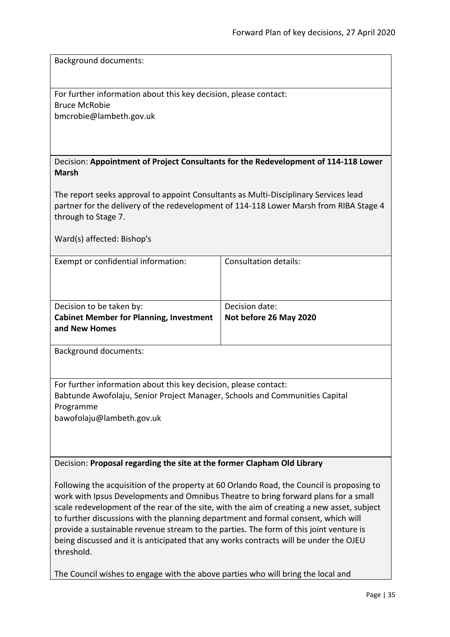Background documents:

For further information about this key decision, please contact: Bruce McRobie bmcrobie@lambeth.gov.uk

<span id="page-34-0"></span>

| Decision: Appointment of Project Consultants for the Redevelopment of 114-118 Lower |
|-------------------------------------------------------------------------------------|
| <b>Marsh</b>                                                                        |

The report seeks approval to appoint Consultants as Multi-Disciplinary Services lead partner for the delivery of the redevelopment of 114-118 Lower Marsh from RIBA Stage 4 through to Stage 7.

Ward(s) affected: Bishop's

| Exempt or confidential information:            | Consultation details:  |
|------------------------------------------------|------------------------|
|                                                |                        |
|                                                |                        |
|                                                |                        |
| Decision to be taken by:                       | Decision date:         |
| <b>Cabinet Member for Planning, Investment</b> | Not before 26 May 2020 |
| and New Homes                                  |                        |
|                                                |                        |

Background documents:

For further information about this key decision, please contact: Babtunde Awofolaju, Senior Project Manager, Schools and Communities Capital Programme

bawofolaju@lambeth.gov.uk

# <span id="page-34-1"></span>Decision: **Proposal regarding the site at the former Clapham Old Library**

Following the acquisition of the property at 60 Orlando Road, the Council is proposing to work with Ipsus Developments and Omnibus Theatre to bring forward plans for a small scale redevelopment of the rear of the site, with the aim of creating a new asset, subject to further discussions with the planning department and formal consent, which will provide a sustainable revenue stream to the parties. The form of this joint venture is being discussed and it is anticipated that any works contracts will be under the OJEU threshold.

The Council wishes to engage with the above parties who will bring the local and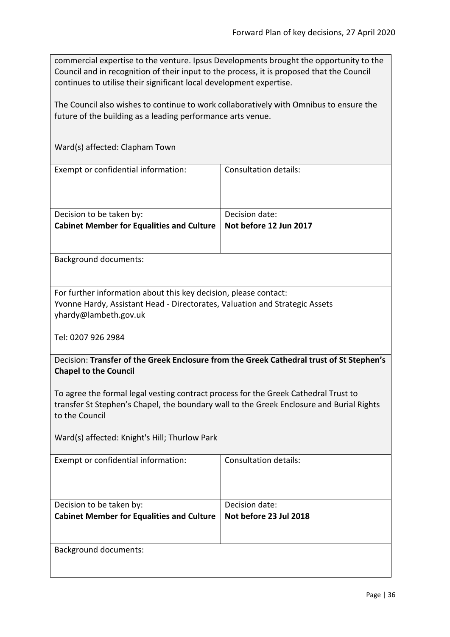commercial expertise to the venture. Ipsus Developments brought the opportunity to the Council and in recognition of their input to the process, it is proposed that the Council continues to utilise their significant local development expertise.

The Council also wishes to continue to work collaboratively with Omnibus to ensure the future of the building as a leading performance arts venue.

Ward(s) affected: Clapham Town

| Exempt or confidential information:              | <b>Consultation details:</b> |
|--------------------------------------------------|------------------------------|
|                                                  |                              |
|                                                  |                              |
|                                                  |                              |
| Decision to be taken by:                         | Decision date:               |
| <b>Cabinet Member for Equalities and Culture</b> | Not before 12 Jun 2017       |
|                                                  |                              |
|                                                  |                              |

Background documents:

For further information about this key decision, please contact: Yvonne Hardy, Assistant Head - Directorates, Valuation and Strategic Assets yhardy@lambeth.gov.uk

Tel: 0207 926 2984

<span id="page-35-0"></span>Decision: **Transfer of the Greek Enclosure from the Greek Cathedral trust of St Stephen's Chapel to the Council**

To agree the formal legal vesting contract process for the Greek Cathedral Trust to transfer St Stephen's Chapel, the boundary wall to the Greek Enclosure and Burial Rights to the Council

Ward(s) affected: Knight's Hill; Thurlow Park

| Exempt or confidential information:              | Consultation details:  |
|--------------------------------------------------|------------------------|
|                                                  |                        |
|                                                  |                        |
| Decision to be taken by:                         | Decision date:         |
| <b>Cabinet Member for Equalities and Culture</b> | Not before 23 Jul 2018 |
|                                                  |                        |
|                                                  |                        |
| <b>Background documents:</b>                     |                        |
|                                                  |                        |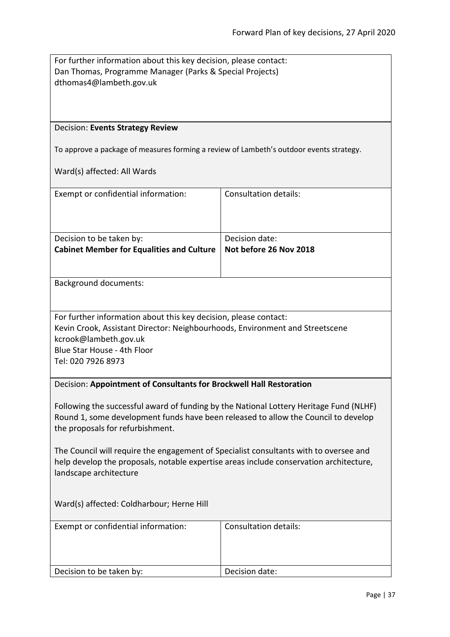<span id="page-36-1"></span><span id="page-36-0"></span>

| For further information about this key decision, please contact:<br>Dan Thomas, Programme Manager (Parks & Special Projects)<br>dthomas4@lambeth.gov.uk                                                                        |                              |  |
|--------------------------------------------------------------------------------------------------------------------------------------------------------------------------------------------------------------------------------|------------------------------|--|
| Decision: Events Strategy Review                                                                                                                                                                                               |                              |  |
| To approve a package of measures forming a review of Lambeth's outdoor events strategy.                                                                                                                                        |                              |  |
| Ward(s) affected: All Wards                                                                                                                                                                                                    |                              |  |
|                                                                                                                                                                                                                                |                              |  |
| Exempt or confidential information:                                                                                                                                                                                            | <b>Consultation details:</b> |  |
|                                                                                                                                                                                                                                |                              |  |
| Decision to be taken by:                                                                                                                                                                                                       | Decision date:               |  |
| <b>Cabinet Member for Equalities and Culture</b>                                                                                                                                                                               | Not before 26 Nov 2018       |  |
|                                                                                                                                                                                                                                |                              |  |
| <b>Background documents:</b>                                                                                                                                                                                                   |                              |  |
|                                                                                                                                                                                                                                |                              |  |
| For further information about this key decision, please contact:<br>Kevin Crook, Assistant Director: Neighbourhoods, Environment and Streetscene<br>kcrook@lambeth.gov.uk<br>Blue Star House - 4th Floor<br>Tel: 020 7926 8973 |                              |  |
| Decision: Appointment of Consultants for Brockwell Hall Restoration                                                                                                                                                            |                              |  |
| Following the successful award of funding by the National Lottery Heritage Fund (NLHF)<br>Round 1, some development funds have been released to allow the Council to develop<br>the proposals for refurbishment.               |                              |  |
| The Council will require the engagement of Specialist consultants with to oversee and<br>help develop the proposals, notable expertise areas include conservation architecture,<br>landscape architecture                      |                              |  |
| Ward(s) affected: Coldharbour; Herne Hill                                                                                                                                                                                      |                              |  |
| Exempt or confidential information:                                                                                                                                                                                            | <b>Consultation details:</b> |  |
| Decision to be taken by:                                                                                                                                                                                                       | Decision date:               |  |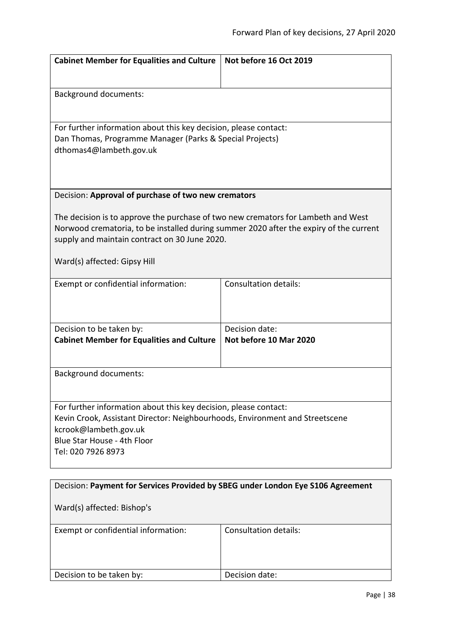<span id="page-37-0"></span>

| <b>Cabinet Member for Equalities and Culture</b>                                                                                                                                                                             | Not before 16 Oct 2019                   |  |
|------------------------------------------------------------------------------------------------------------------------------------------------------------------------------------------------------------------------------|------------------------------------------|--|
|                                                                                                                                                                                                                              |                                          |  |
| <b>Background documents:</b>                                                                                                                                                                                                 |                                          |  |
| For further information about this key decision, please contact:                                                                                                                                                             |                                          |  |
| Dan Thomas, Programme Manager (Parks & Special Projects)<br>dthomas4@lambeth.gov.uk                                                                                                                                          |                                          |  |
|                                                                                                                                                                                                                              |                                          |  |
| Decision: Approval of purchase of two new cremators                                                                                                                                                                          |                                          |  |
| The decision is to approve the purchase of two new cremators for Lambeth and West<br>Norwood crematoria, to be installed during summer 2020 after the expiry of the current<br>supply and maintain contract on 30 June 2020. |                                          |  |
| Ward(s) affected: Gipsy Hill                                                                                                                                                                                                 |                                          |  |
| Exempt or confidential information:                                                                                                                                                                                          | <b>Consultation details:</b>             |  |
|                                                                                                                                                                                                                              |                                          |  |
| Decision to be taken by:                                                                                                                                                                                                     | Decision date:<br>Not before 10 Mar 2020 |  |
| <b>Cabinet Member for Equalities and Culture</b>                                                                                                                                                                             |                                          |  |
| <b>Background documents:</b>                                                                                                                                                                                                 |                                          |  |
|                                                                                                                                                                                                                              |                                          |  |
| For further information about this key decision, please contact:<br>Kevin Crook, Assistant Director: Neighbourhoods, Environment and Streetscene<br>kcrook@lambeth.gov.uk                                                    |                                          |  |
| Blue Star House - 4th Floor                                                                                                                                                                                                  |                                          |  |
| Tel: 020 7926 8973                                                                                                                                                                                                           |                                          |  |
| Decision: Payment for Services Provided by SBEG under London Eye S106 Agreement                                                                                                                                              |                                          |  |
| Ward(s) affected: Bishop's                                                                                                                                                                                                   |                                          |  |
| Exempt or confidential information:                                                                                                                                                                                          | Consultation details:                    |  |

<span id="page-37-1"></span>

| EXCHIPLE OF CONTRACTION INTERNATIONS | <u>consartation actums.</u> |
|--------------------------------------|-----------------------------|
|                                      |                             |
|                                      |                             |
|                                      |                             |
|                                      |                             |
| Decision to be taken by:             | Decision date:              |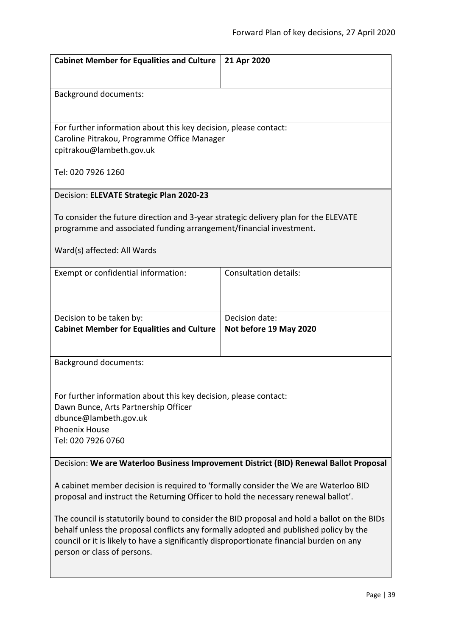<span id="page-38-1"></span><span id="page-38-0"></span>

| <b>Cabinet Member for Equalities and Culture</b>                                                                                                                          | 21 Apr 2020                  |  |
|---------------------------------------------------------------------------------------------------------------------------------------------------------------------------|------------------------------|--|
|                                                                                                                                                                           |                              |  |
|                                                                                                                                                                           |                              |  |
| <b>Background documents:</b>                                                                                                                                              |                              |  |
|                                                                                                                                                                           |                              |  |
| For further information about this key decision, please contact:                                                                                                          |                              |  |
| Caroline Pitrakou, Programme Office Manager                                                                                                                               |                              |  |
| cpitrakou@lambeth.gov.uk                                                                                                                                                  |                              |  |
| Tel: 020 7926 1260                                                                                                                                                        |                              |  |
|                                                                                                                                                                           |                              |  |
| Decision: ELEVATE Strategic Plan 2020-23                                                                                                                                  |                              |  |
|                                                                                                                                                                           |                              |  |
| To consider the future direction and 3-year strategic delivery plan for the ELEVATE<br>programme and associated funding arrangement/financial investment.                 |                              |  |
|                                                                                                                                                                           |                              |  |
| Ward(s) affected: All Wards                                                                                                                                               |                              |  |
|                                                                                                                                                                           |                              |  |
| Exempt or confidential information:                                                                                                                                       | <b>Consultation details:</b> |  |
|                                                                                                                                                                           |                              |  |
|                                                                                                                                                                           |                              |  |
| Decision to be taken by:                                                                                                                                                  | Decision date:               |  |
| <b>Cabinet Member for Equalities and Culture</b>                                                                                                                          | Not before 19 May 2020       |  |
|                                                                                                                                                                           |                              |  |
| <b>Background documents:</b>                                                                                                                                              |                              |  |
|                                                                                                                                                                           |                              |  |
|                                                                                                                                                                           |                              |  |
| For further information about this key decision, please contact:                                                                                                          |                              |  |
| Dawn Bunce, Arts Partnership Officer                                                                                                                                      |                              |  |
| dbunce@lambeth.gov.uk<br><b>Phoenix House</b>                                                                                                                             |                              |  |
| Tel: 020 7926 0760                                                                                                                                                        |                              |  |
|                                                                                                                                                                           |                              |  |
| Decision: We are Waterloo Business Improvement District (BID) Renewal Ballot Proposal                                                                                     |                              |  |
|                                                                                                                                                                           |                              |  |
| A cabinet member decision is required to 'formally consider the We are Waterloo BID<br>proposal and instruct the Returning Officer to hold the necessary renewal ballot'. |                              |  |
|                                                                                                                                                                           |                              |  |
| The council is statutorily bound to consider the BID proposal and hold a ballot on the BIDs                                                                               |                              |  |
| behalf unless the proposal conflicts any formally adopted and published policy by the                                                                                     |                              |  |
| council or it is likely to have a significantly disproportionate financial burden on any<br>person or class of persons.                                                   |                              |  |
|                                                                                                                                                                           |                              |  |
|                                                                                                                                                                           |                              |  |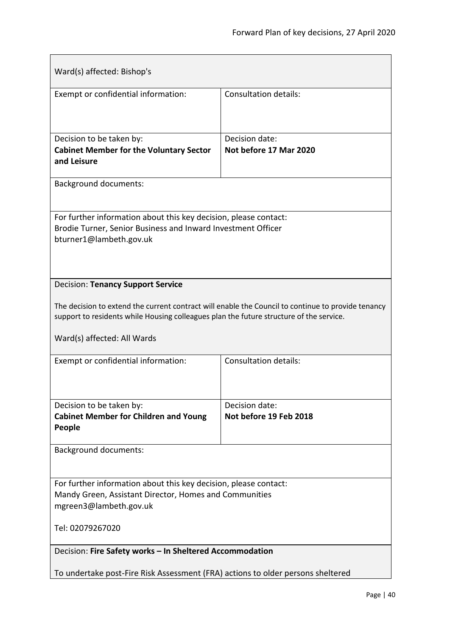<span id="page-39-1"></span><span id="page-39-0"></span>

| Ward(s) affected: Bishop's                                                                                                                                                                                                   |                                          |  |
|------------------------------------------------------------------------------------------------------------------------------------------------------------------------------------------------------------------------------|------------------------------------------|--|
| Exempt or confidential information:                                                                                                                                                                                          | <b>Consultation details:</b>             |  |
| Decision to be taken by:<br><b>Cabinet Member for the Voluntary Sector</b><br>and Leisure                                                                                                                                    | Decision date:<br>Not before 17 Mar 2020 |  |
| <b>Background documents:</b>                                                                                                                                                                                                 |                                          |  |
| For further information about this key decision, please contact:<br>Brodie Turner, Senior Business and Inward Investment Officer<br>bturner1@lambeth.gov.uk                                                                  |                                          |  |
| <b>Decision: Tenancy Support Service</b>                                                                                                                                                                                     |                                          |  |
| The decision to extend the current contract will enable the Council to continue to provide tenancy<br>support to residents while Housing colleagues plan the future structure of the service.<br>Ward(s) affected: All Wards |                                          |  |
| Exempt or confidential information:                                                                                                                                                                                          | Consultation details:                    |  |
| Decision to be taken by:<br><b>Cabinet Member for Children and Young</b><br>People                                                                                                                                           | Decision date:<br>Not before 19 Feb 2018 |  |
| <b>Background documents:</b>                                                                                                                                                                                                 |                                          |  |
|                                                                                                                                                                                                                              |                                          |  |
| For further information about this key decision, please contact:<br>Mandy Green, Assistant Director, Homes and Communities<br>mgreen3@lambeth.gov.uk                                                                         |                                          |  |
| Tel: 02079267020                                                                                                                                                                                                             |                                          |  |
| Decision: Fire Safety works - In Sheltered Accommodation                                                                                                                                                                     |                                          |  |
| To undertake post-Fire Risk Assessment (FRA) actions to older persons sheltered                                                                                                                                              |                                          |  |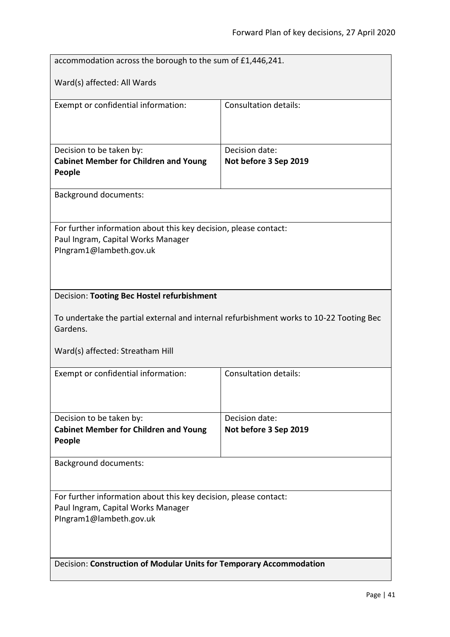<span id="page-40-0"></span>

| accommodation across the borough to the sum of £1,446,241.                                          |                                         |  |
|-----------------------------------------------------------------------------------------------------|-----------------------------------------|--|
| Ward(s) affected: All Wards                                                                         |                                         |  |
|                                                                                                     |                                         |  |
| Exempt or confidential information:                                                                 | Consultation details:                   |  |
|                                                                                                     |                                         |  |
|                                                                                                     |                                         |  |
| Decision to be taken by:<br><b>Cabinet Member for Children and Young</b>                            | Decision date:<br>Not before 3 Sep 2019 |  |
| People                                                                                              |                                         |  |
| <b>Background documents:</b>                                                                        |                                         |  |
|                                                                                                     |                                         |  |
| For further information about this key decision, please contact:                                    |                                         |  |
| Paul Ingram, Capital Works Manager<br>PIngram1@lambeth.gov.uk                                       |                                         |  |
|                                                                                                     |                                         |  |
|                                                                                                     |                                         |  |
| Decision: Tooting Bec Hostel refurbishment                                                          |                                         |  |
| To undertake the partial external and internal refurbishment works to 10-22 Tooting Bec<br>Gardens. |                                         |  |
| Ward(s) affected: Streatham Hill                                                                    |                                         |  |
| Exempt or confidential information:                                                                 | <b>Consultation details:</b>            |  |
|                                                                                                     |                                         |  |
|                                                                                                     |                                         |  |
| Decision to be taken by:<br><b>Cabinet Member for Children and Young</b>                            | Decision date:<br>Not before 3 Sep 2019 |  |
| People                                                                                              |                                         |  |
| <b>Background documents:</b>                                                                        |                                         |  |
|                                                                                                     |                                         |  |
| For further information about this key decision, please contact:                                    |                                         |  |
| Paul Ingram, Capital Works Manager                                                                  |                                         |  |
| PIngram1@lambeth.gov.uk                                                                             |                                         |  |
|                                                                                                     |                                         |  |
| Decision: Construction of Modular Units for Temporary Accommodation                                 |                                         |  |
|                                                                                                     |                                         |  |

<span id="page-40-1"></span> $\overline{\phantom{a}}$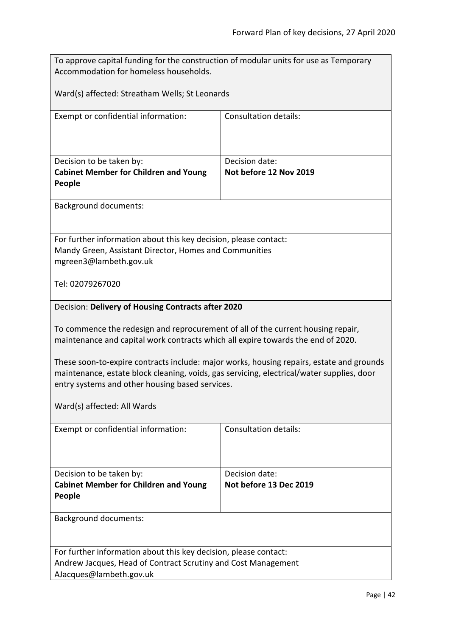<span id="page-41-0"></span>

| To approve capital funding for the construction of modular units for use as Temporary<br>Accommodation for homeless households.                                                                                                          |                              |  |
|------------------------------------------------------------------------------------------------------------------------------------------------------------------------------------------------------------------------------------------|------------------------------|--|
|                                                                                                                                                                                                                                          |                              |  |
| Ward(s) affected: Streatham Wells; St Leonards                                                                                                                                                                                           |                              |  |
| Exempt or confidential information:                                                                                                                                                                                                      | <b>Consultation details:</b> |  |
|                                                                                                                                                                                                                                          |                              |  |
| Decision to be taken by:                                                                                                                                                                                                                 | Decision date:               |  |
| <b>Cabinet Member for Children and Young</b>                                                                                                                                                                                             | Not before 12 Nov 2019       |  |
| People                                                                                                                                                                                                                                   |                              |  |
| <b>Background documents:</b>                                                                                                                                                                                                             |                              |  |
|                                                                                                                                                                                                                                          |                              |  |
| For further information about this key decision, please contact:                                                                                                                                                                         |                              |  |
| Mandy Green, Assistant Director, Homes and Communities<br>mgreen3@lambeth.gov.uk                                                                                                                                                         |                              |  |
|                                                                                                                                                                                                                                          |                              |  |
| Tel: 02079267020                                                                                                                                                                                                                         |                              |  |
| Decision: Delivery of Housing Contracts after 2020                                                                                                                                                                                       |                              |  |
| To commence the redesign and reprocurement of all of the current housing repair,<br>maintenance and capital work contracts which all expire towards the end of 2020.                                                                     |                              |  |
| These soon-to-expire contracts include: major works, housing repairs, estate and grounds<br>maintenance, estate block cleaning, voids, gas servicing, electrical/water supplies, door<br>entry systems and other housing based services. |                              |  |
| Ward(s) affected: All Wards                                                                                                                                                                                                              |                              |  |
| Exempt or confidential information:                                                                                                                                                                                                      | Consultation details:        |  |
|                                                                                                                                                                                                                                          |                              |  |
| Decision to be taken by:                                                                                                                                                                                                                 | Decision date:               |  |
| <b>Cabinet Member for Children and Young</b><br>People                                                                                                                                                                                   | Not before 13 Dec 2019       |  |
|                                                                                                                                                                                                                                          |                              |  |
| <b>Background documents:</b>                                                                                                                                                                                                             |                              |  |
|                                                                                                                                                                                                                                          |                              |  |
| For further information about this key decision, please contact:<br>Andrew Jacques, Head of Contract Scrutiny and Cost Management                                                                                                        |                              |  |
| AJacques@lambeth.gov.uk                                                                                                                                                                                                                  |                              |  |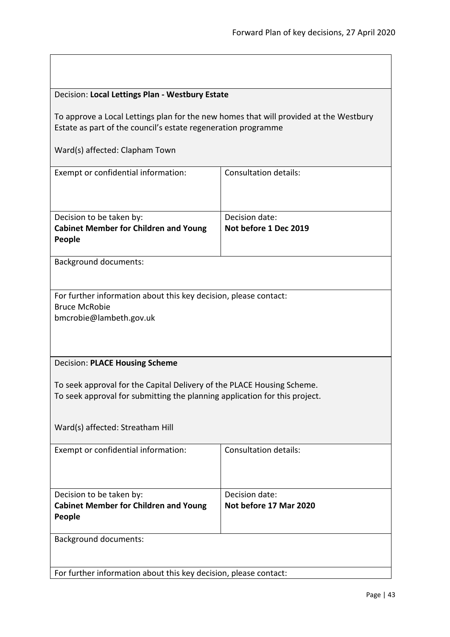<span id="page-42-1"></span><span id="page-42-0"></span>

| Decision: Local Lettings Plan - Westbury Estate                                                                                                        |                                          |  |
|--------------------------------------------------------------------------------------------------------------------------------------------------------|------------------------------------------|--|
| To approve a Local Lettings plan for the new homes that will provided at the Westbury<br>Estate as part of the council's estate regeneration programme |                                          |  |
| Ward(s) affected: Clapham Town                                                                                                                         |                                          |  |
| Exempt or confidential information:                                                                                                                    | <b>Consultation details:</b>             |  |
| Decision to be taken by:<br><b>Cabinet Member for Children and Young</b><br>People                                                                     | Decision date:<br>Not before 1 Dec 2019  |  |
| <b>Background documents:</b>                                                                                                                           |                                          |  |
| For further information about this key decision, please contact:<br><b>Bruce McRobie</b><br>bmcrobie@lambeth.gov.uk                                    |                                          |  |
| <b>Decision: PLACE Housing Scheme</b>                                                                                                                  |                                          |  |
| To seek approval for the Capital Delivery of the PLACE Housing Scheme.<br>To seek approval for submitting the planning application for this project.   |                                          |  |
| Ward(s) affected: Streatham Hill                                                                                                                       |                                          |  |
| Exempt or confidential information:                                                                                                                    | Consultation details:                    |  |
| Decision to be taken by:<br><b>Cabinet Member for Children and Young</b><br><b>People</b>                                                              | Decision date:<br>Not before 17 Mar 2020 |  |
| <b>Background documents:</b>                                                                                                                           |                                          |  |
| For further information about this key decision, please contact:                                                                                       |                                          |  |